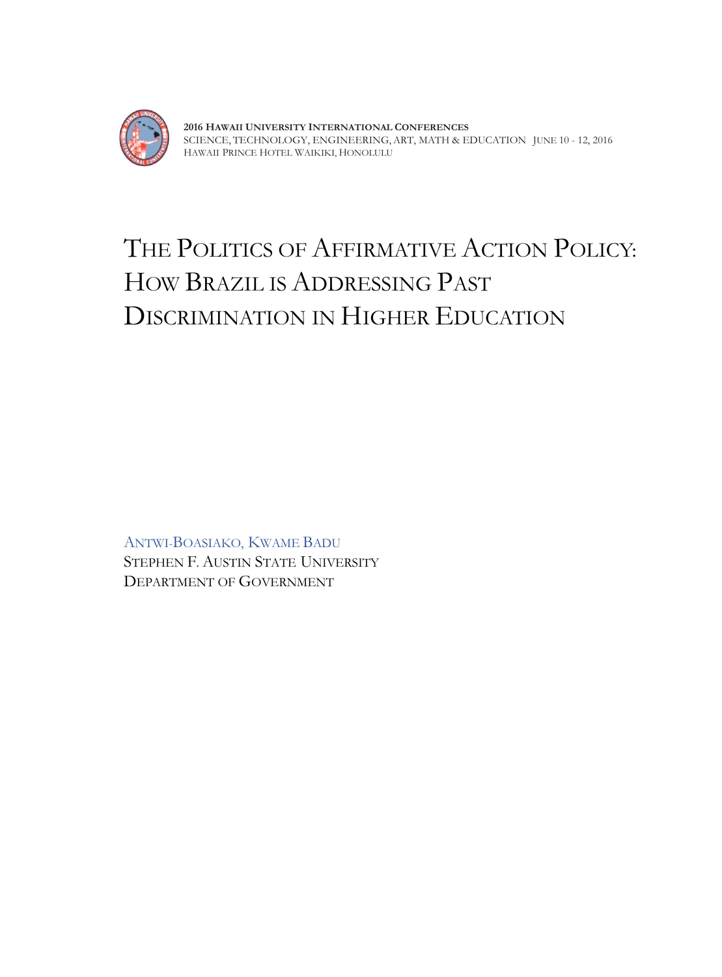

**2016 HAWAII UNIVERSITY INTERNATIONAL CONFERENCES**  SCIENCE, TECHNOLOGY, ENGINEERING, ART, MATH & EDUCATION JUNE 10 - 12, 2016 HAWAII PRINCE HOTEL WAIKIKI, HONOLULU

# THE POLITICS OF AFFIRMATIVE ACTION POLICY: HOW BRAZIL IS ADDRESSING PAST DISCRIMINATION IN HIGHER EDUCATION

ANTWI-BOASIAKO, KWAME BADU STEPHEN F. AUSTIN STATE UNIVERSITY DEPARTMENT OF GOVERNMENT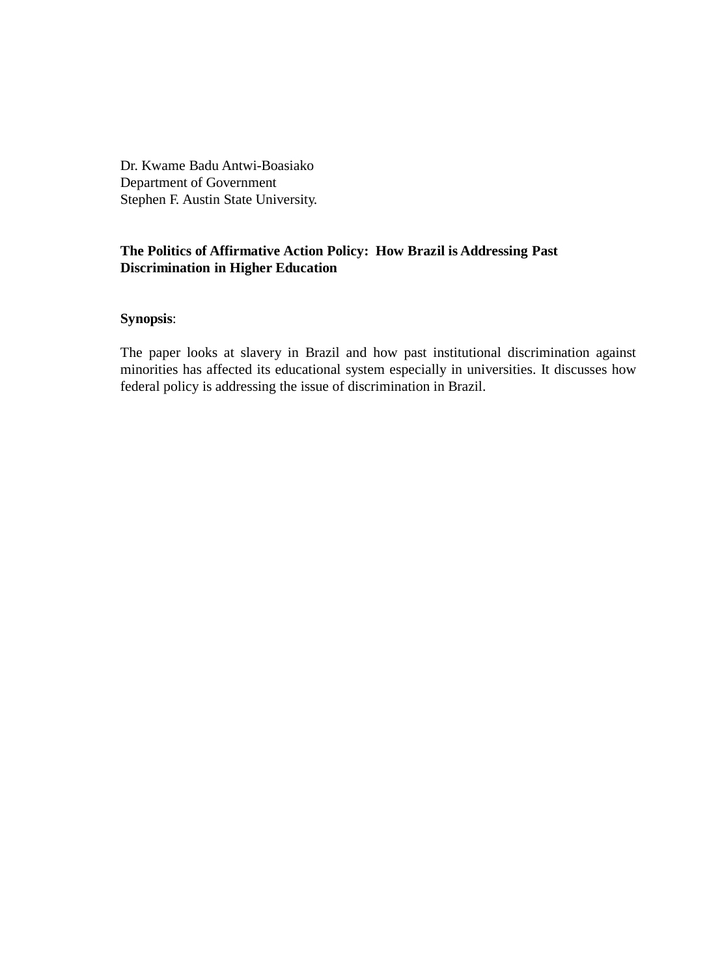Dr. Kwame Badu Antwi-Boasiako Department of Government Stephen F. Austin State University.

## **The Politics of Affirmative Action Policy: How Brazil is Addressing Past Discrimination in Higher Education**

## **Synopsis**:

The paper looks at slavery in Brazil and how past institutional discrimination against minorities has affected its educational system especially in universities. It discusses how federal policy is addressing the issue of discrimination in Brazil.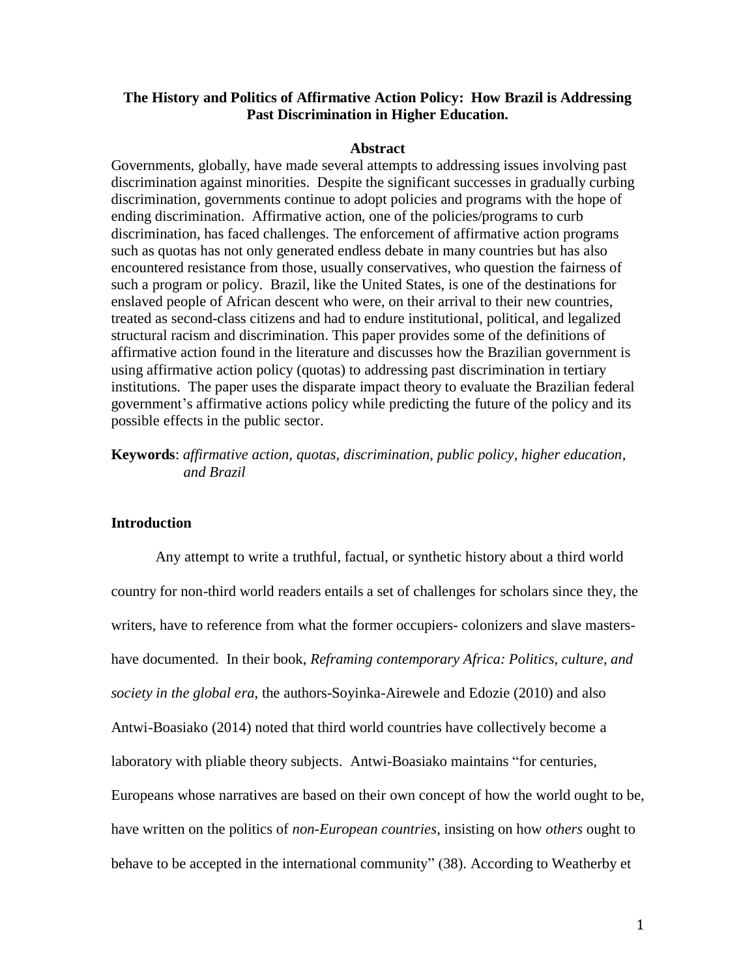## **The History and Politics of Affirmative Action Policy: How Brazil is Addressing Past Discrimination in Higher Education.**

#### **Abstract**

Governments, globally, have made several attempts to addressing issues involving past discrimination against minorities. Despite the significant successes in gradually curbing discrimination, governments continue to adopt policies and programs with the hope of ending discrimination. Affirmative action, one of the policies/programs to curb discrimination, has faced challenges. The enforcement of affirmative action programs such as quotas has not only generated endless debate in many countries but has also encountered resistance from those, usually conservatives, who question the fairness of such a program or policy. Brazil, like the United States, is one of the destinations for enslaved people of African descent who were, on their arrival to their new countries, treated as second-class citizens and had to endure institutional, political, and legalized structural racism and discrimination. This paper provides some of the definitions of affirmative action found in the literature and discusses how the Brazilian government is using affirmative action policy (quotas) to addressing past discrimination in tertiary institutions. The paper uses the disparate impact theory to evaluate the Brazilian federal government's affirmative actions policy while predicting the future of the policy and its possible effects in the public sector.

**Keywords**: *affirmative action, quotas, discrimination, public policy, higher education, and Brazil*

## **Introduction**

Any attempt to write a truthful, factual, or synthetic history about a third world country for non-third world readers entails a set of challenges for scholars since they, the writers, have to reference from what the former occupiers- colonizers and slave mastershave documented. In their book, *Reframing contemporary Africa: Politics, culture, and society in the global era*, the authors-Soyinka-Airewele and Edozie (2010) and also Antwi-Boasiako (2014) noted that third world countries have collectively become a laboratory with pliable theory subjects. Antwi-Boasiako maintains "for centuries, Europeans whose narratives are based on their own concept of how the world ought to be, have written on the politics of *non-European countries*, insisting on how *others* ought to behave to be accepted in the international community" (38). According to Weatherby et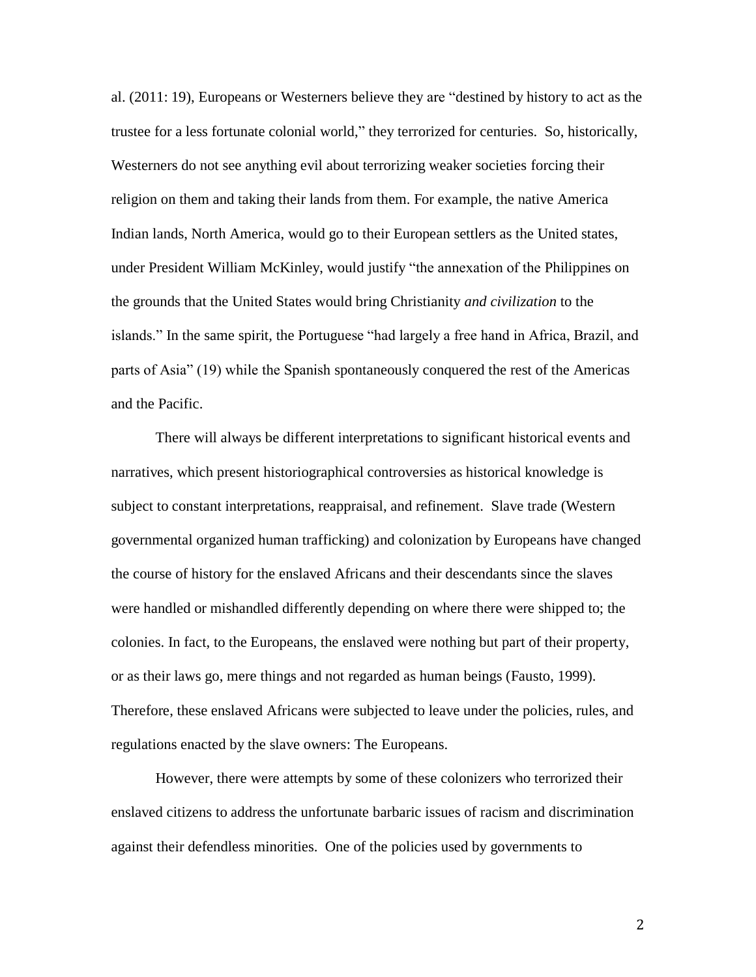al. (2011: 19), Europeans or Westerners believe they are "destined by history to act as the trustee for a less fortunate colonial world," they terrorized for centuries. So, historically, Westerners do not see anything evil about terrorizing weaker societies forcing their religion on them and taking their lands from them. For example, the native America Indian lands, North America, would go to their European settlers as the United states, under President William McKinley, would justify "the annexation of the Philippines on the grounds that the United States would bring Christianity *and civilization* to the islands." In the same spirit, the Portuguese "had largely a free hand in Africa, Brazil, and parts of Asia" (19) while the Spanish spontaneously conquered the rest of the Americas and the Pacific.

There will always be different interpretations to significant historical events and narratives, which present historiographical controversies as historical knowledge is subject to constant interpretations, reappraisal, and refinement. Slave trade (Western governmental organized human trafficking) and colonization by Europeans have changed the course of history for the enslaved Africans and their descendants since the slaves were handled or mishandled differently depending on where there were shipped to; the colonies. In fact, to the Europeans, the enslaved were nothing but part of their property, or as their laws go, mere things and not regarded as human beings (Fausto, 1999). Therefore, these enslaved Africans were subjected to leave under the policies, rules, and regulations enacted by the slave owners: The Europeans.

However, there were attempts by some of these colonizers who terrorized their enslaved citizens to address the unfortunate barbaric issues of racism and discrimination against their defendless minorities. One of the policies used by governments to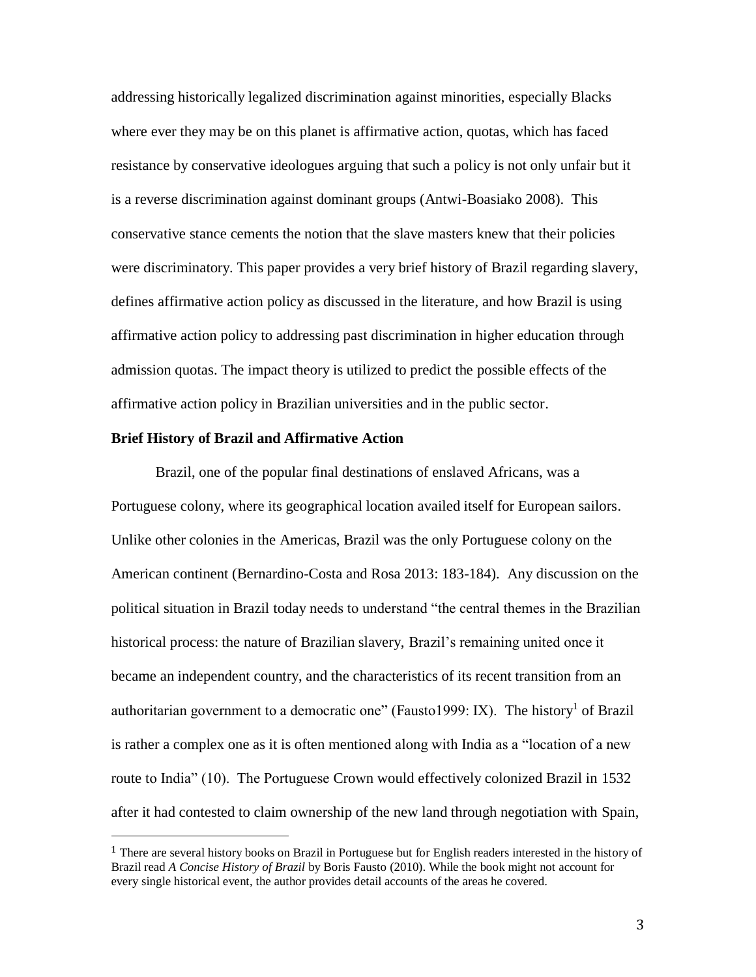addressing historically legalized discrimination against minorities, especially Blacks where ever they may be on this planet is affirmative action, quotas, which has faced resistance by conservative ideologues arguing that such a policy is not only unfair but it is a reverse discrimination against dominant groups (Antwi-Boasiako 2008). This conservative stance cements the notion that the slave masters knew that their policies were discriminatory. This paper provides a very brief history of Brazil regarding slavery, defines affirmative action policy as discussed in the literature, and how Brazil is using affirmative action policy to addressing past discrimination in higher education through admission quotas. The impact theory is utilized to predict the possible effects of the affirmative action policy in Brazilian universities and in the public sector.

#### **Brief History of Brazil and Affirmative Action**

 $\overline{a}$ 

Brazil, one of the popular final destinations of enslaved Africans, was a Portuguese colony, where its geographical location availed itself for European sailors. Unlike other colonies in the Americas, Brazil was the only Portuguese colony on the American continent (Bernardino-Costa and Rosa 2013: 183-184). Any discussion on the political situation in Brazil today needs to understand "the central themes in the Brazilian historical process: the nature of Brazilian slavery, Brazil's remaining united once it became an independent country, and the characteristics of its recent transition from an authoritarian government to a democratic one" (Fausto1999: IX). The history<sup>1</sup> of Brazil is rather a complex one as it is often mentioned along with India as a "location of a new route to India" (10). The Portuguese Crown would effectively colonized Brazil in 1532 after it had contested to claim ownership of the new land through negotiation with Spain,

<sup>1</sup> There are several history books on Brazil in Portuguese but for English readers interested in the history of Brazil read *A Concise History of Brazil* by Boris Fausto (2010). While the book might not account for every single historical event, the author provides detail accounts of the areas he covered.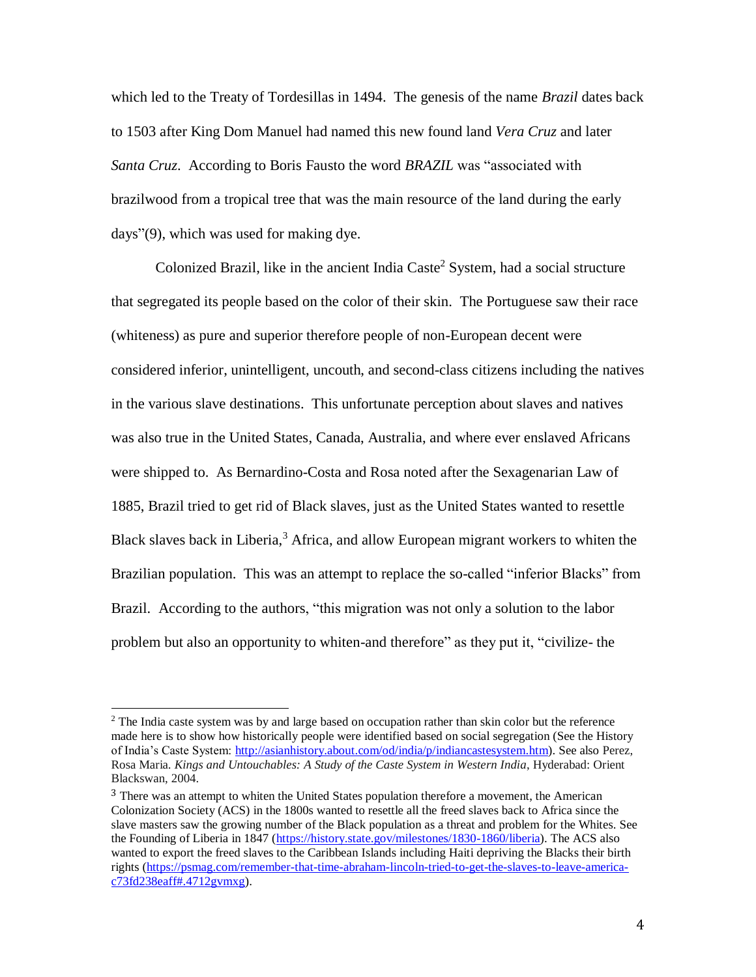which led to the Treaty of Tordesillas in 1494. The genesis of the name *Brazil* dates back to 1503 after King Dom Manuel had named this new found land *Vera Cruz* and later *Santa Cruz*. According to Boris Fausto the word *BRAZIL* was "associated with brazilwood from a tropical tree that was the main resource of the land during the early days"(9), which was used for making dye.

Colonized Brazil, like in the ancient India Caste<sup>2</sup> System, had a social structure that segregated its people based on the color of their skin. The Portuguese saw their race (whiteness) as pure and superior therefore people of non-European decent were considered inferior, unintelligent, uncouth, and second-class citizens including the natives in the various slave destinations. This unfortunate perception about slaves and natives was also true in the United States, Canada, Australia, and where ever enslaved Africans were shipped to. As Bernardino-Costa and Rosa noted after the Sexagenarian Law of 1885, Brazil tried to get rid of Black slaves, just as the United States wanted to resettle Black slaves back in Liberia, $3$  Africa, and allow European migrant workers to whiten the Brazilian population. This was an attempt to replace the so-called "inferior Blacks" from Brazil. According to the authors, "this migration was not only a solution to the labor problem but also an opportunity to whiten-and therefore" as they put it, "civilize- the

 $\overline{a}$ 

<sup>&</sup>lt;sup>2</sup> The India caste system was by and large based on occupation rather than skin color but the reference made here is to show how historically people were identified based on social segregation (See the History of India's Caste System: [http://asianhistory.about.com/od/india/p/indiancastesystem.htm\)](http://asianhistory.about.com/od/india/p/indiancastesystem.htm). See also Perez, Rosa Maria. *Kings and Untouchables: A Study of the Caste System in Western India*, Hyderabad: Orient Blackswan, 2004.

<sup>&</sup>lt;sup>3</sup> There was an attempt to whiten the United States population therefore a movement, the American Colonization Society (ACS) in the 1800s wanted to resettle all the freed slaves back to Africa since the slave masters saw the growing number of the Black population as a threat and problem for the Whites. See the Founding of Liberia in 1847 [\(https://history.state.gov/milestones/1830-1860/liberia\)](https://history.state.gov/milestones/1830-1860/liberia). The ACS also wanted to export the freed slaves to the Caribbean Islands including Haiti depriving the Blacks their birth rights [\(https://psmag.com/remember-that-time-abraham-lincoln-tried-to-get-the-slaves-to-leave-america](https://psmag.com/remember-that-time-abraham-lincoln-tried-to-get-the-slaves-to-leave-america-c73fd238eaff#.4712gvmxg) $c73f d238e a f f#$ .4712gvmxg).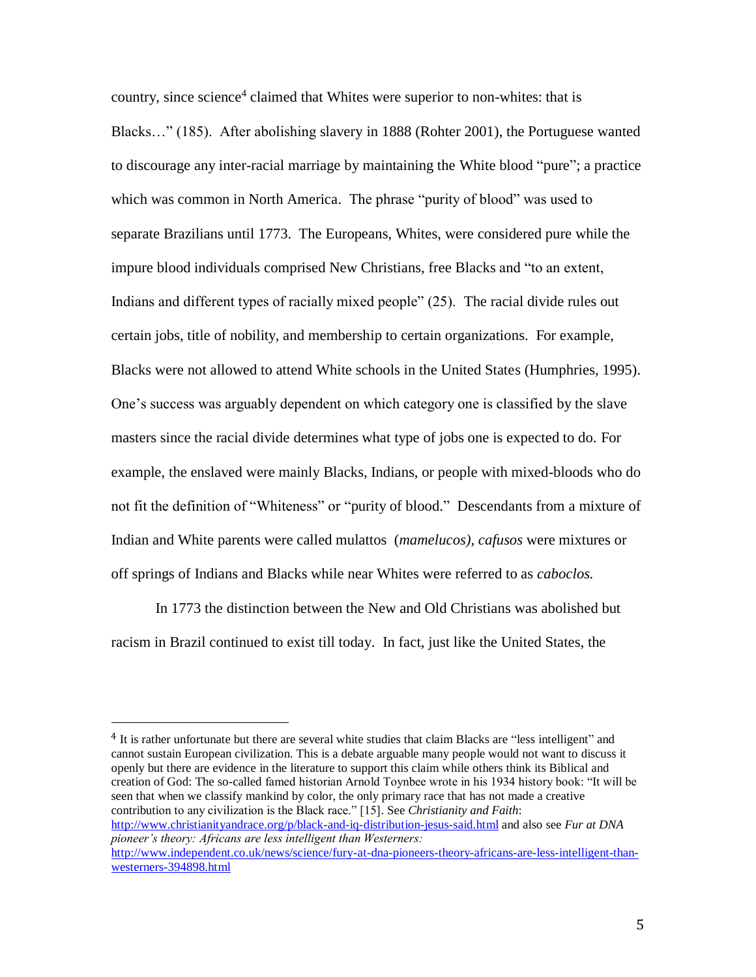country, since science<sup>4</sup> claimed that Whites were superior to non-whites: that is Blacks…" (185). After abolishing slavery in 1888 (Rohter 2001), the Portuguese wanted to discourage any inter-racial marriage by maintaining the White blood "pure"; a practice which was common in North America. The phrase "purity of blood" was used to separate Brazilians until 1773. The Europeans, Whites, were considered pure while the impure blood individuals comprised New Christians, free Blacks and "to an extent, Indians and different types of racially mixed people" (25). The racial divide rules out certain jobs, title of nobility, and membership to certain organizations. For example, Blacks were not allowed to attend White schools in the United States (Humphries, 1995). One's success was arguably dependent on which category one is classified by the slave masters since the racial divide determines what type of jobs one is expected to do. For example, the enslaved were mainly Blacks, Indians, or people with mixed-bloods who do not fit the definition of "Whiteness" or "purity of blood." Descendants from a mixture of Indian and White parents were called mulattos (*mamelucos), cafusos* were mixtures or off springs of Indians and Blacks while near Whites were referred to as *caboclos.*

In 1773 the distinction between the New and Old Christians was abolished but racism in Brazil continued to exist till today. In fact, just like the United States, the

 $\overline{a}$ 

4 It is rather unfortunate but there are several white studies that claim Blacks are "less intelligent" and cannot sustain European civilization. This is a debate arguable many people would not want to discuss it openly but there are evidence in the literature to support this claim while others think its Biblical and creation of God: The so-called famed historian Arnold Toynbee wrote in his 1934 history book: "It will be seen that when we classify mankind by color, the only primary race that has not made a creative contribution to any civilization is the Black race." [15]. See *Christianity and Faith*: <http://www.christianityandrace.org/p/black-and-iq-distribution-jesus-said.html> and also see *Fur at DNA pioneer's theory: Africans are less intelligent than Westerners:* [http://www.independent.co.uk/news/science/fury-at-dna-pioneers-theory-africans-are-less-intelligent-than](http://www.independent.co.uk/news/science/fury-at-dna-pioneers-theory-africans-are-less-intelligent-than-westerners-394898.html)[westerners-394898.html](http://www.independent.co.uk/news/science/fury-at-dna-pioneers-theory-africans-are-less-intelligent-than-westerners-394898.html)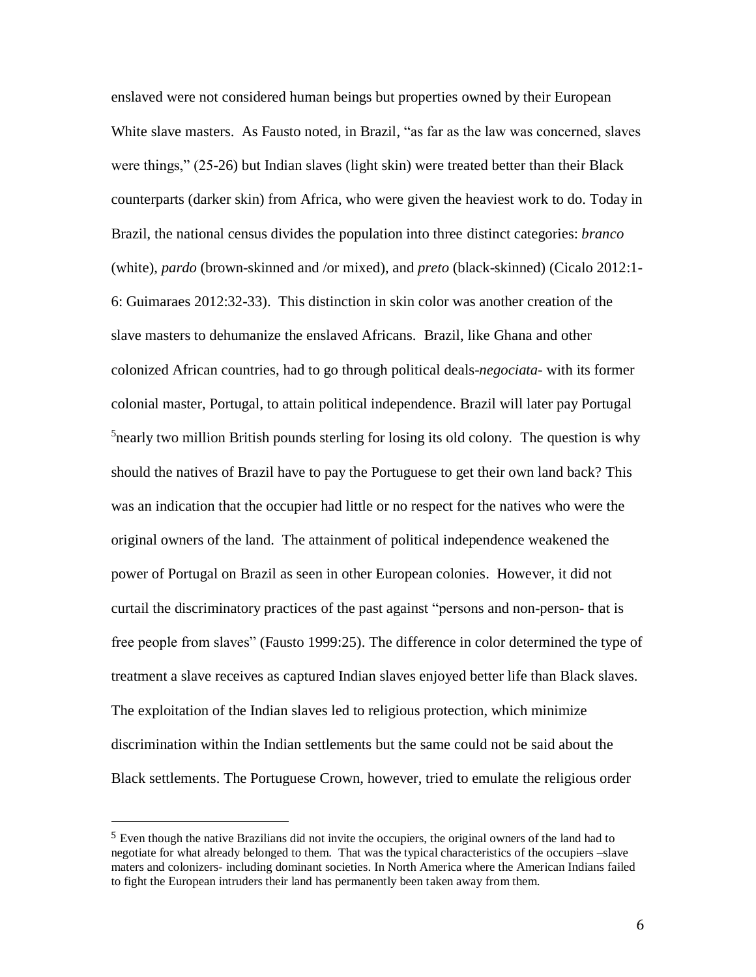enslaved were not considered human beings but properties owned by their European White slave masters. As Fausto noted, in Brazil, "as far as the law was concerned, slaves were things," (25-26) but Indian slaves (light skin) were treated better than their Black counterparts (darker skin) from Africa, who were given the heaviest work to do. Today in Brazil, the national census divides the population into three distinct categories: *branco* (white), *pardo* (brown-skinned and /or mixed), and *preto* (black-skinned) (Cicalo 2012:1- 6: Guimaraes 2012:32-33). This distinction in skin color was another creation of the slave masters to dehumanize the enslaved Africans. Brazil, like Ghana and other colonized African countries, had to go through political deals-*negociata-* with its former colonial master, Portugal, to attain political independence. Brazil will later pay Portugal <sup>5</sup> nearly two million British pounds sterling for losing its old colony. The question is why should the natives of Brazil have to pay the Portuguese to get their own land back? This was an indication that the occupier had little or no respect for the natives who were the original owners of the land. The attainment of political independence weakened the power of Portugal on Brazil as seen in other European colonies. However, it did not curtail the discriminatory practices of the past against "persons and non-person- that is free people from slaves" (Fausto 1999:25). The difference in color determined the type of treatment a slave receives as captured Indian slaves enjoyed better life than Black slaves. The exploitation of the Indian slaves led to religious protection, which minimize discrimination within the Indian settlements but the same could not be said about the Black settlements. The Portuguese Crown, however, tried to emulate the religious order

 $\overline{\phantom{a}}$ 

<sup>5</sup> Even though the native Brazilians did not invite the occupiers, the original owners of the land had to negotiate for what already belonged to them. That was the typical characteristics of the occupiers –slave maters and colonizers- including dominant societies. In North America where the American Indians failed to fight the European intruders their land has permanently been taken away from them.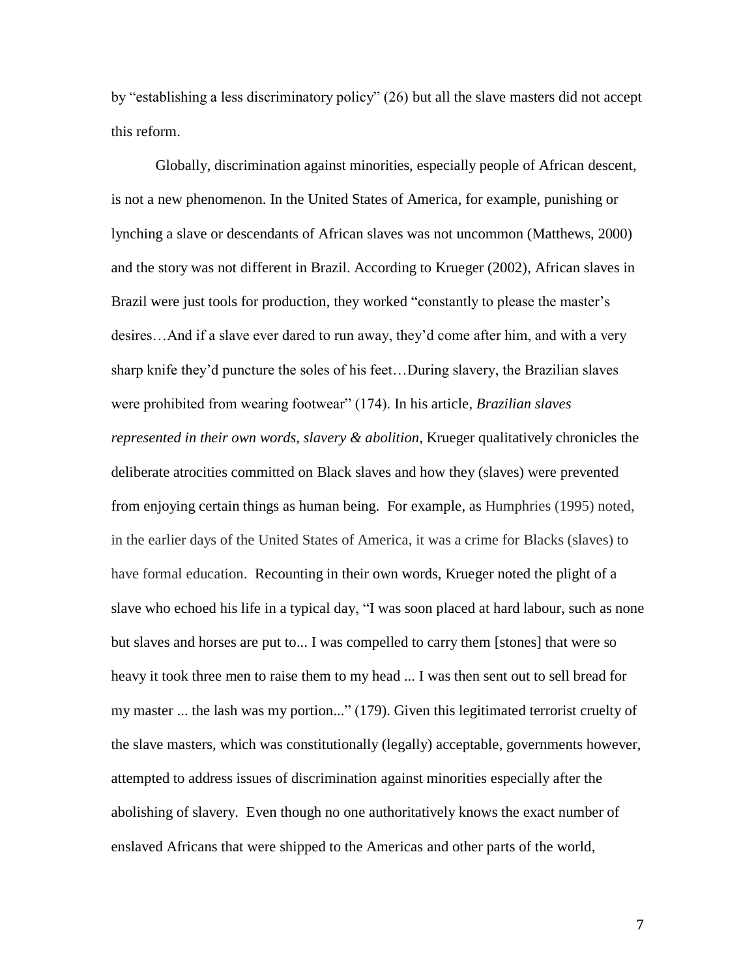by "establishing a less discriminatory policy" (26) but all the slave masters did not accept this reform.

Globally, discrimination against minorities, especially people of African descent, is not a new phenomenon. In the United States of America, for example, punishing or lynching a slave or descendants of African slaves was not uncommon (Matthews, 2000) and the story was not different in Brazil. According to Krueger (2002), African slaves in Brazil were just tools for production, they worked "constantly to please the master's desires…And if a slave ever dared to run away, they'd come after him, and with a very sharp knife they'd puncture the soles of his feet…During slavery, the Brazilian slaves were prohibited from wearing footwear" (174). In his article, *Brazilian slaves represented in their own words, slavery & abolition,* Krueger qualitatively chronicles the deliberate atrocities committed on Black slaves and how they (slaves) were prevented from enjoying certain things as human being. For example, as Humphries (1995) noted, in the earlier days of the United States of America, it was a crime for Blacks (slaves) to have formal education. Recounting in their own words, Krueger noted the plight of a slave who echoed his life in a typical day, "I was soon placed at hard labour, such as none but slaves and horses are put to... I was compelled to carry them [stones] that were so heavy it took three men to raise them to my head ... I was then sent out to sell bread for my master ... the lash was my portion..." (179). Given this legitimated terrorist cruelty of the slave masters, which was constitutionally (legally) acceptable, governments however, attempted to address issues of discrimination against minorities especially after the abolishing of slavery. Even though no one authoritatively knows the exact number of enslaved Africans that were shipped to the Americas and other parts of the world,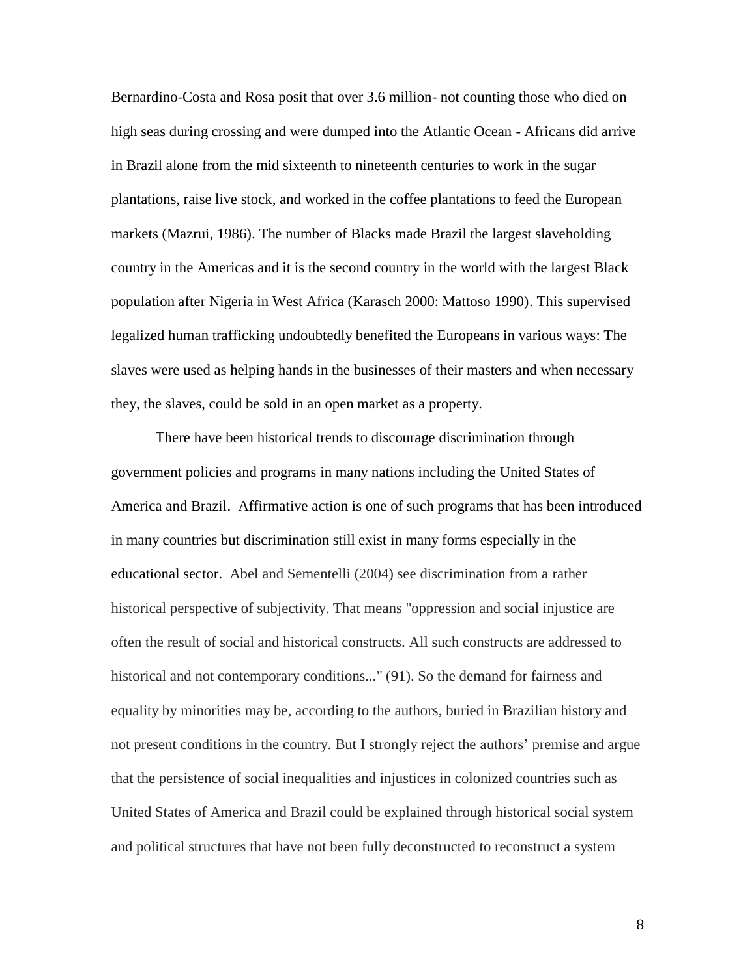Bernardino-Costa and Rosa posit that over 3.6 million- not counting those who died on high seas during crossing and were dumped into the Atlantic Ocean - Africans did arrive in Brazil alone from the mid sixteenth to nineteenth centuries to work in the sugar plantations, raise live stock, and worked in the coffee plantations to feed the European markets (Mazrui, 1986). The number of Blacks made Brazil the largest slaveholding country in the Americas and it is the second country in the world with the largest Black population after Nigeria in West Africa (Karasch 2000: Mattoso 1990). This supervised legalized human trafficking undoubtedly benefited the Europeans in various ways: The slaves were used as helping hands in the businesses of their masters and when necessary they, the slaves, could be sold in an open market as a property.

There have been historical trends to discourage discrimination through government policies and programs in many nations including the United States of America and Brazil. Affirmative action is one of such programs that has been introduced in many countries but discrimination still exist in many forms especially in the educational sector. Abel and Sementelli (2004) see discrimination from a rather historical perspective of subjectivity. That means "oppression and social injustice are often the result of social and historical constructs. All such constructs are addressed to historical and not contemporary conditions..." (91). So the demand for fairness and equality by minorities may be, according to the authors, buried in Brazilian history and not present conditions in the country. But I strongly reject the authors' premise and argue that the persistence of social inequalities and injustices in colonized countries such as United States of America and Brazil could be explained through historical social system and political structures that have not been fully deconstructed to reconstruct a system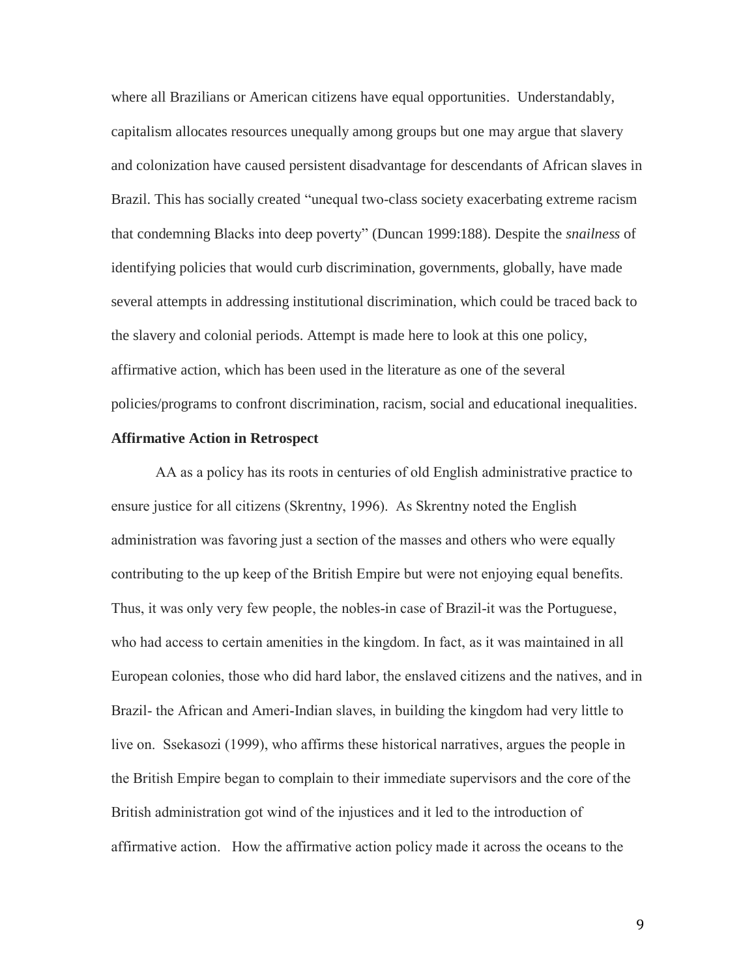where all Brazilians or American citizens have equal opportunities. Understandably, capitalism allocates resources unequally among groups but one may argue that slavery and colonization have caused persistent disadvantage for descendants of African slaves in Brazil. This has socially created "unequal two-class society exacerbating extreme racism that condemning Blacks into deep poverty" (Duncan 1999:188). Despite the *snailness* of identifying policies that would curb discrimination, governments, globally, have made several attempts in addressing institutional discrimination, which could be traced back to the slavery and colonial periods. Attempt is made here to look at this one policy, affirmative action, which has been used in the literature as one of the several policies/programs to confront discrimination, racism, social and educational inequalities.

## **Affirmative Action in Retrospect**

AA as a policy has its roots in centuries of old English administrative practice to ensure justice for all citizens (Skrentny, 1996). As Skrentny noted the English administration was favoring just a section of the masses and others who were equally contributing to the up keep of the British Empire but were not enjoying equal benefits. Thus, it was only very few people, the nobles-in case of Brazil-it was the Portuguese, who had access to certain amenities in the kingdom. In fact, as it was maintained in all European colonies, those who did hard labor, the enslaved citizens and the natives, and in Brazil- the African and Ameri-Indian slaves, in building the kingdom had very little to live on. Ssekasozi (1999), who affirms these historical narratives, argues the people in the British Empire began to complain to their immediate supervisors and the core of the British administration got wind of the injustices and it led to the introduction of affirmative action. How the affirmative action policy made it across the oceans to the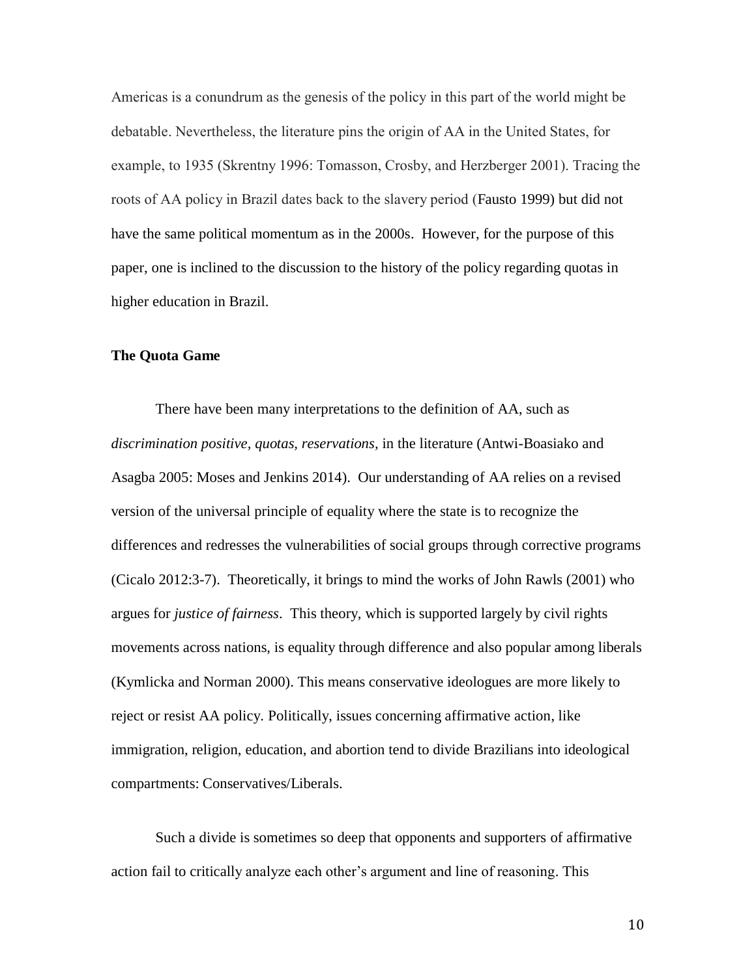Americas is a conundrum as the genesis of the policy in this part of the world might be debatable. Nevertheless, the literature pins the origin of AA in the United States, for example, to 1935 (Skrentny 1996: Tomasson, Crosby, and Herzberger 2001). Tracing the roots of AA policy in Brazil dates back to the slavery period (Fausto 1999) but did not have the same political momentum as in the 2000s. However, for the purpose of this paper, one is inclined to the discussion to the history of the policy regarding quotas in higher education in Brazil.

## **The Quota Game**

There have been many interpretations to the definition of AA, such as *discrimination positive, quotas, reservations,* in the literature (Antwi-Boasiako and Asagba 2005: Moses and Jenkins 2014). Our understanding of AA relies on a revised version of the universal principle of equality where the state is to recognize the differences and redresses the vulnerabilities of social groups through corrective programs (Cicalo 2012:3-7). Theoretically, it brings to mind the works of John Rawls (2001) who argues for *justice of fairness*. This theory, which is supported largely by civil rights movements across nations, is equality through difference and also popular among liberals (Kymlicka and Norman 2000). This means conservative ideologues are more likely to reject or resist AA policy. Politically, issues concerning affirmative action, like immigration, religion, education, and abortion tend to divide Brazilians into ideological compartments: Conservatives/Liberals.

Such a divide is sometimes so deep that opponents and supporters of affirmative action fail to critically analyze each other's argument and line of reasoning. This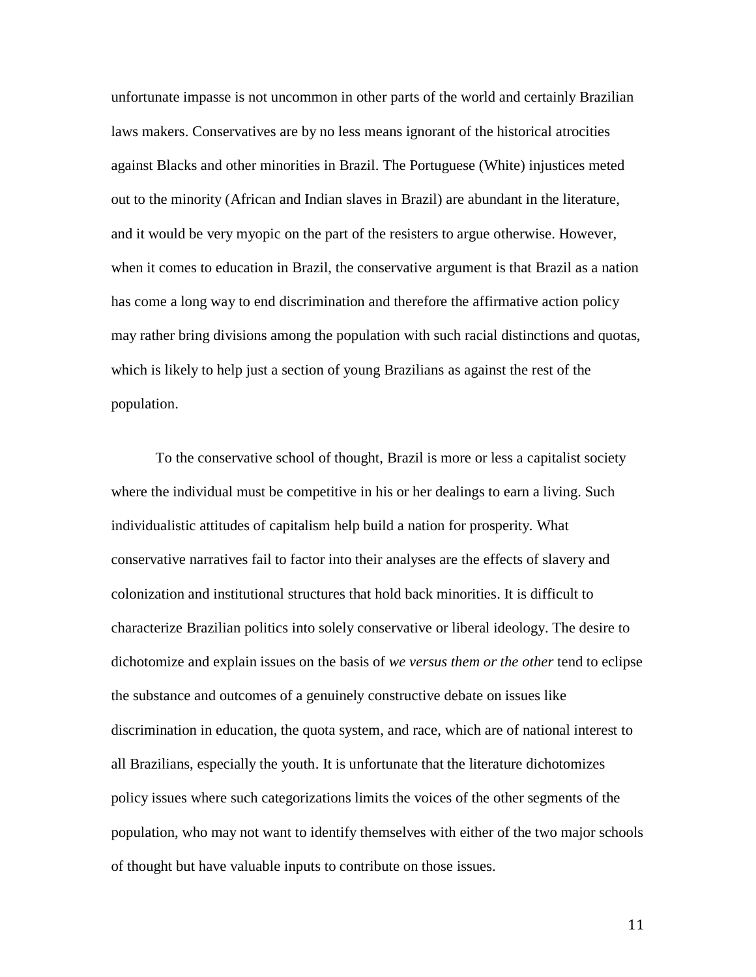unfortunate impasse is not uncommon in other parts of the world and certainly Brazilian laws makers. Conservatives are by no less means ignorant of the historical atrocities against Blacks and other minorities in Brazil. The Portuguese (White) injustices meted out to the minority (African and Indian slaves in Brazil) are abundant in the literature, and it would be very myopic on the part of the resisters to argue otherwise. However, when it comes to education in Brazil, the conservative argument is that Brazil as a nation has come a long way to end discrimination and therefore the affirmative action policy may rather bring divisions among the population with such racial distinctions and quotas, which is likely to help just a section of young Brazilians as against the rest of the population.

To the conservative school of thought, Brazil is more or less a capitalist society where the individual must be competitive in his or her dealings to earn a living. Such individualistic attitudes of capitalism help build a nation for prosperity. What conservative narratives fail to factor into their analyses are the effects of slavery and colonization and institutional structures that hold back minorities. It is difficult to characterize Brazilian politics into solely conservative or liberal ideology. The desire to dichotomize and explain issues on the basis of *we versus them or the other* tend to eclipse the substance and outcomes of a genuinely constructive debate on issues like discrimination in education, the quota system, and race, which are of national interest to all Brazilians, especially the youth. It is unfortunate that the literature dichotomizes policy issues where such categorizations limits the voices of the other segments of the population, who may not want to identify themselves with either of the two major schools of thought but have valuable inputs to contribute on those issues.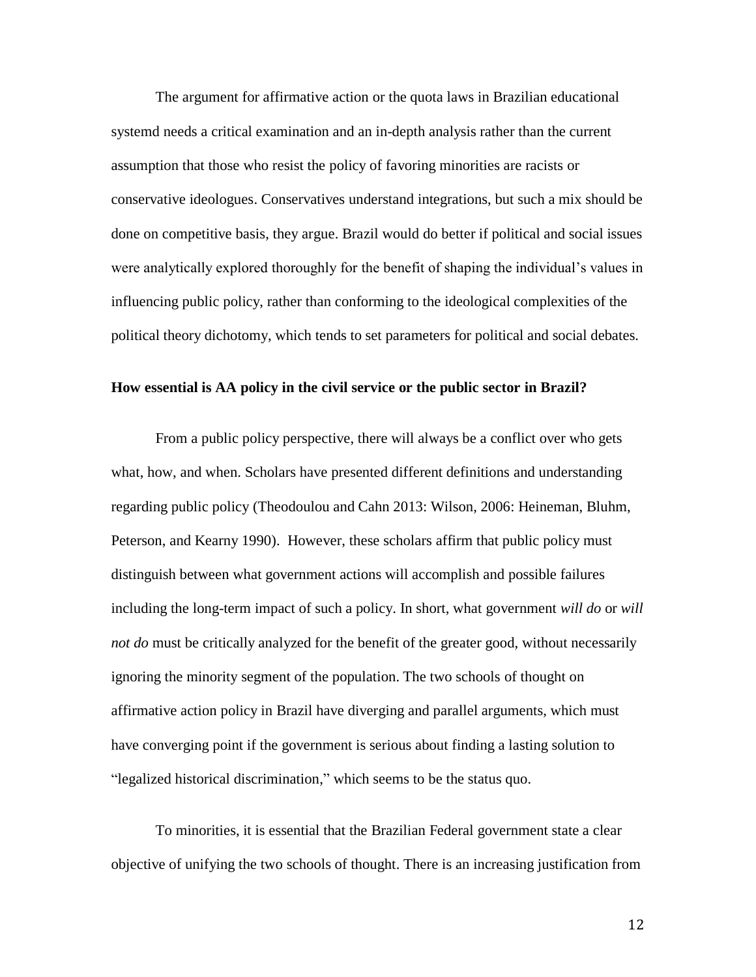The argument for affirmative action or the quota laws in Brazilian educational systemd needs a critical examination and an in-depth analysis rather than the current assumption that those who resist the policy of favoring minorities are racists or conservative ideologues. Conservatives understand integrations, but such a mix should be done on competitive basis, they argue. Brazil would do better if political and social issues were analytically explored thoroughly for the benefit of shaping the individual's values in influencing public policy, rather than conforming to the ideological complexities of the political theory dichotomy, which tends to set parameters for political and social debates.

## **How essential is AA policy in the civil service or the public sector in Brazil?**

From a public policy perspective, there will always be a conflict over who gets what, how, and when. Scholars have presented different definitions and understanding regarding public policy (Theodoulou and Cahn 2013: Wilson, 2006: Heineman, Bluhm, Peterson, and Kearny 1990). However, these scholars affirm that public policy must distinguish between what government actions will accomplish and possible failures including the long-term impact of such a policy. In short, what government *will do* or *will not do* must be critically analyzed for the benefit of the greater good, without necessarily ignoring the minority segment of the population. The two schools of thought on affirmative action policy in Brazil have diverging and parallel arguments, which must have converging point if the government is serious about finding a lasting solution to "legalized historical discrimination," which seems to be the status quo.

To minorities, it is essential that the Brazilian Federal government state a clear objective of unifying the two schools of thought. There is an increasing justification from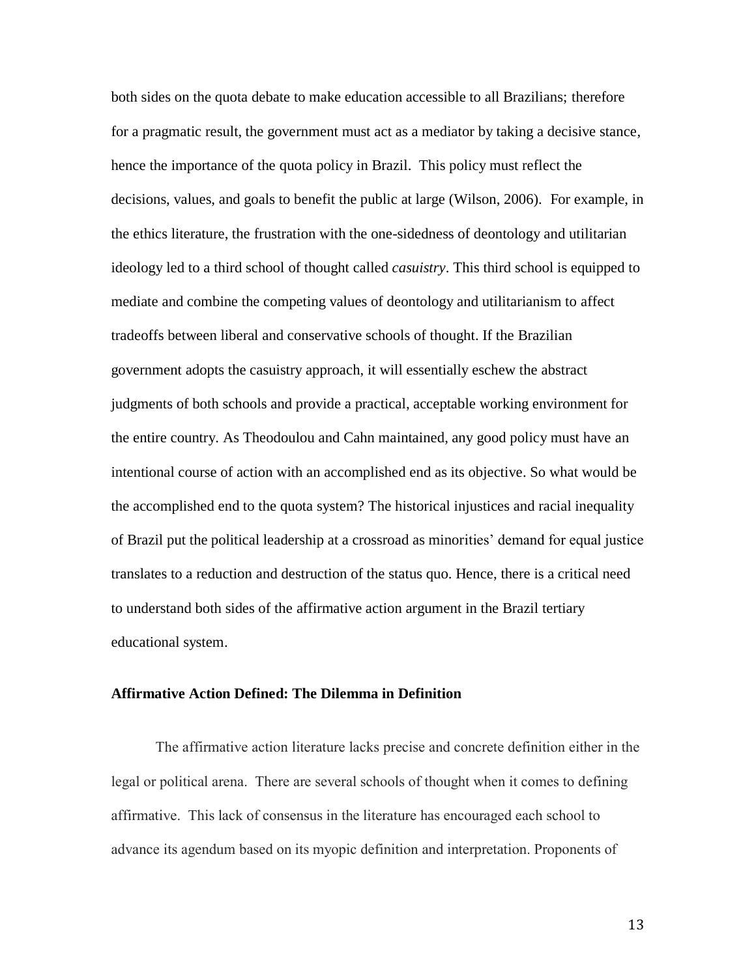both sides on the quota debate to make education accessible to all Brazilians; therefore for a pragmatic result, the government must act as a mediator by taking a decisive stance, hence the importance of the quota policy in Brazil. This policy must reflect the decisions, values, and goals to benefit the public at large (Wilson, 2006). For example, in the ethics literature, the frustration with the one-sidedness of deontology and utilitarian ideology led to a third school of thought called *casuistry*. This third school is equipped to mediate and combine the competing values of deontology and utilitarianism to affect tradeoffs between liberal and conservative schools of thought. If the Brazilian government adopts the casuistry approach, it will essentially eschew the abstract judgments of both schools and provide a practical, acceptable working environment for the entire country. As Theodoulou and Cahn maintained, any good policy must have an intentional course of action with an accomplished end as its objective. So what would be the accomplished end to the quota system? The historical injustices and racial inequality of Brazil put the political leadership at a crossroad as minorities' demand for equal justice translates to a reduction and destruction of the status quo. Hence, there is a critical need to understand both sides of the affirmative action argument in the Brazil tertiary educational system.

## **Affirmative Action Defined: The Dilemma in Definition**

The affirmative action literature lacks precise and concrete definition either in the legal or political arena. There are several schools of thought when it comes to defining affirmative. This lack of consensus in the literature has encouraged each school to advance its agendum based on its myopic definition and interpretation. Proponents of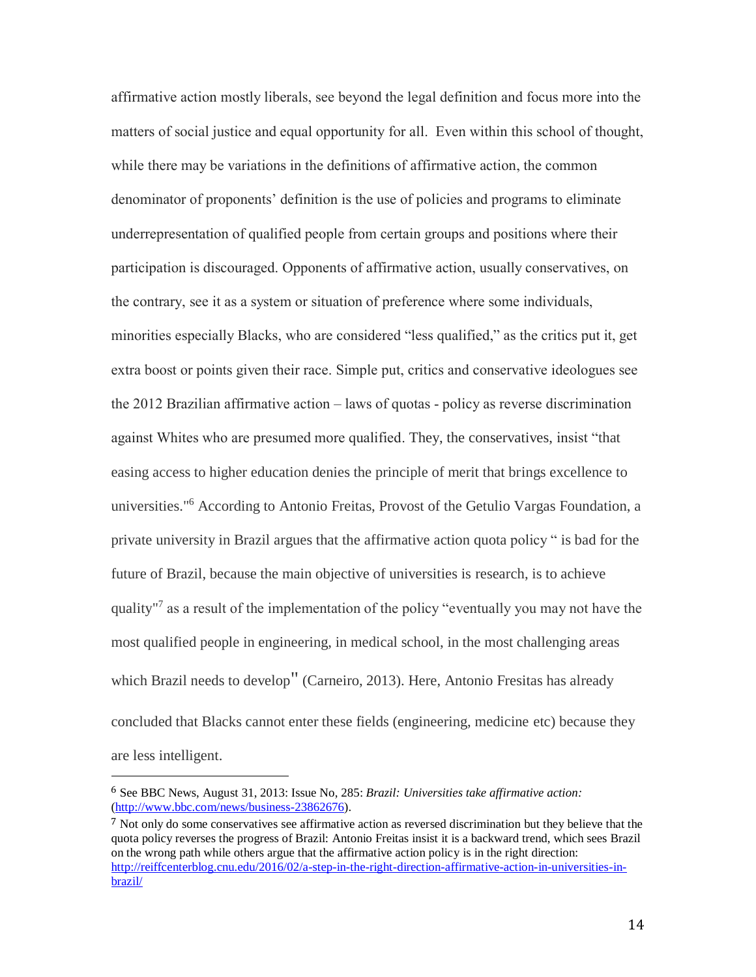affirmative action mostly liberals, see beyond the legal definition and focus more into the matters of social justice and equal opportunity for all. Even within this school of thought, while there may be variations in the definitions of affirmative action, the common denominator of proponents' definition is the use of policies and programs to eliminate underrepresentation of qualified people from certain groups and positions where their participation is discouraged. Opponents of affirmative action, usually conservatives, on the contrary, see it as a system or situation of preference where some individuals, minorities especially Blacks, who are considered "less qualified," as the critics put it, get extra boost or points given their race. Simple put, critics and conservative ideologues see the 2012 Brazilian affirmative action – laws of quotas - policy as reverse discrimination against Whites who are presumed more qualified. They, the conservatives, insist "that easing access to higher education denies the principle of merit that brings excellence to universities." <sup>6</sup> According to Antonio Freitas, Provost of the Getulio Vargas Foundation, a private university in Brazil argues that the affirmative action quota policy " is bad for the future of Brazil, because the main objective of universities is research, is to achieve quality"<sup>7</sup> as a result of the implementation of the policy "eventually you may not have the most qualified people in engineering, in medical school, in the most challenging areas which Brazil needs to develop" (Carneiro, 2013). Here, Antonio Fresitas has already concluded that Blacks cannot enter these fields (engineering, medicine etc) because they are less intelligent.

 $\overline{a}$ 

<sup>6</sup> See BBC News, August 31, 2013: Issue No, 285: *Brazil: Universities take affirmative action:* [\(http://www.bbc.com/news/business-23862676\)](http://www.bbc.com/news/business-23862676).

<sup>7</sup> Not only do some conservatives see affirmative action as reversed discrimination but they believe that the quota policy reverses the progress of Brazil: Antonio Freitas insist it is a backward trend, which sees Brazil on the wrong path while others argue that the affirmative action policy is in the right direction: [http://reiffcenterblog.cnu.edu/2016/02/a-step-in-the-right-direction-affirmative-action-in-universities-in](http://reiffcenterblog.cnu.edu/2016/02/a-step-in-the-right-direction-affirmative-action-in-universities-in-brazil/)[brazil/](http://reiffcenterblog.cnu.edu/2016/02/a-step-in-the-right-direction-affirmative-action-in-universities-in-brazil/)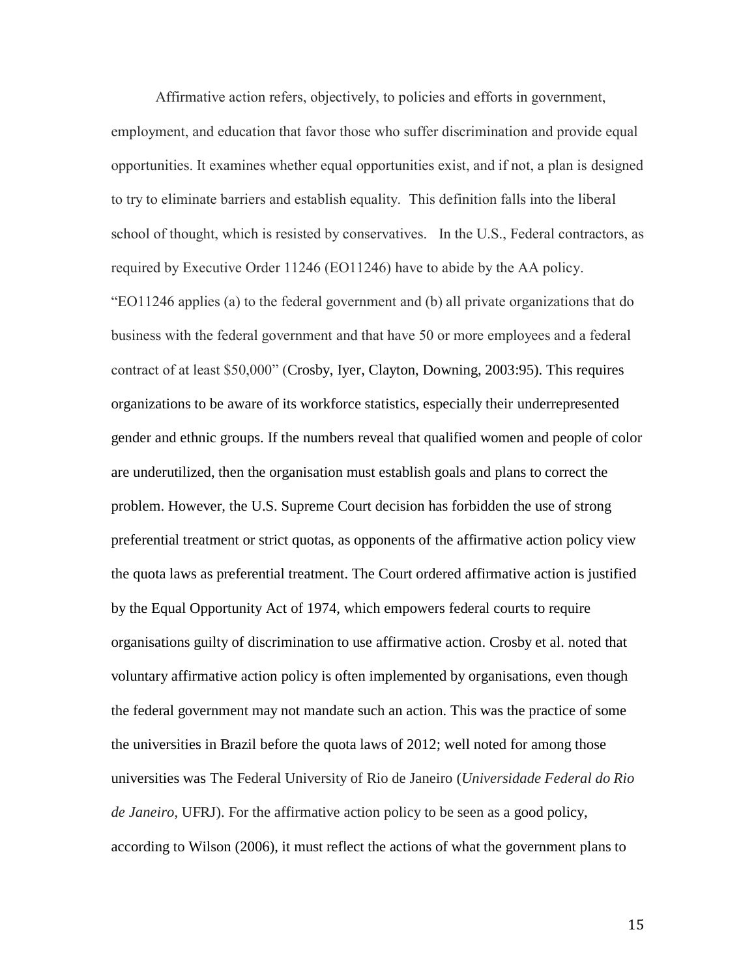Affirmative action refers, objectively, to policies and efforts in government, employment, and education that favor those who suffer discrimination and provide equal opportunities. It examines whether equal opportunities exist, and if not, a plan is designed to try to eliminate barriers and establish equality. This definition falls into the liberal school of thought, which is resisted by conservatives. In the U.S., Federal contractors, as required by Executive Order 11246 (EO11246) have to abide by the AA policy. "EO11246 applies (a) to the federal government and (b) all private organizations that do business with the federal government and that have 50 or more employees and a federal contract of at least \$50,000" (Crosby, Iyer, Clayton, Downing, 2003:95). This requires organizations to be aware of its workforce statistics, especially their underrepresented gender and ethnic groups. If the numbers reveal that qualified women and people of color are underutilized, then the organisation must establish goals and plans to correct the problem. However, the U.S. Supreme Court decision has forbidden the use of strong preferential treatment or strict quotas, as opponents of the affirmative action policy view the quota laws as preferential treatment. The Court ordered affirmative action is justified by the Equal Opportunity Act of 1974, which empowers federal courts to require organisations guilty of discrimination to use affirmative action. Crosby et al. noted that voluntary affirmative action policy is often implemented by organisations, even though the federal government may not mandate such an action. This was the practice of some the universities in Brazil before the quota laws of 2012; well noted for among those universities was The Federal University of Rio de Janeiro (*Universidade Federal do Rio de Janeiro*, UFRJ). For the affirmative action policy to be seen as a good policy, according to Wilson (2006), it must reflect the actions of what the government plans to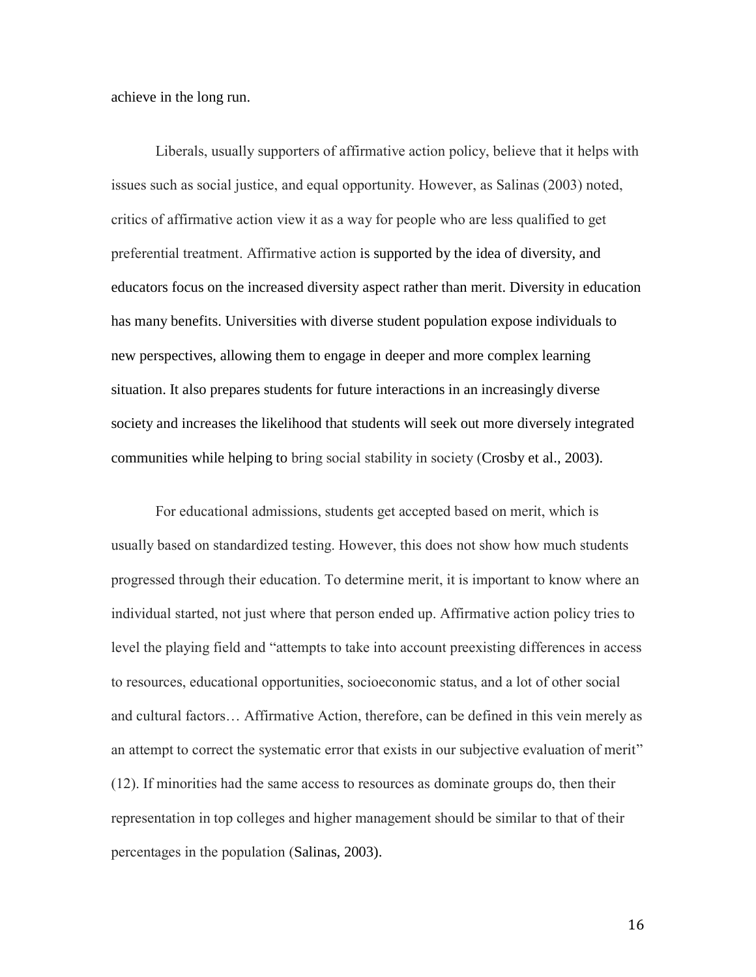achieve in the long run.

Liberals, usually supporters of affirmative action policy, believe that it helps with issues such as social justice, and equal opportunity. However, as Salinas (2003) noted, critics of affirmative action view it as a way for people who are less qualified to get preferential treatment. Affirmative action is supported by the idea of diversity, and educators focus on the increased diversity aspect rather than merit. Diversity in education has many benefits. Universities with diverse student population expose individuals to new perspectives, allowing them to engage in deeper and more complex learning situation. It also prepares students for future interactions in an increasingly diverse society and increases the likelihood that students will seek out more diversely integrated communities while helping to bring social stability in society (Crosby et al., 2003).

For educational admissions, students get accepted based on merit, which is usually based on standardized testing. However, this does not show how much students progressed through their education. To determine merit, it is important to know where an individual started, not just where that person ended up. Affirmative action policy tries to level the playing field and "attempts to take into account preexisting differences in access to resources, educational opportunities, socioeconomic status, and a lot of other social and cultural factors… Affirmative Action, therefore, can be defined in this vein merely as an attempt to correct the systematic error that exists in our subjective evaluation of merit" (12). If minorities had the same access to resources as dominate groups do, then their representation in top colleges and higher management should be similar to that of their percentages in the population (Salinas, 2003).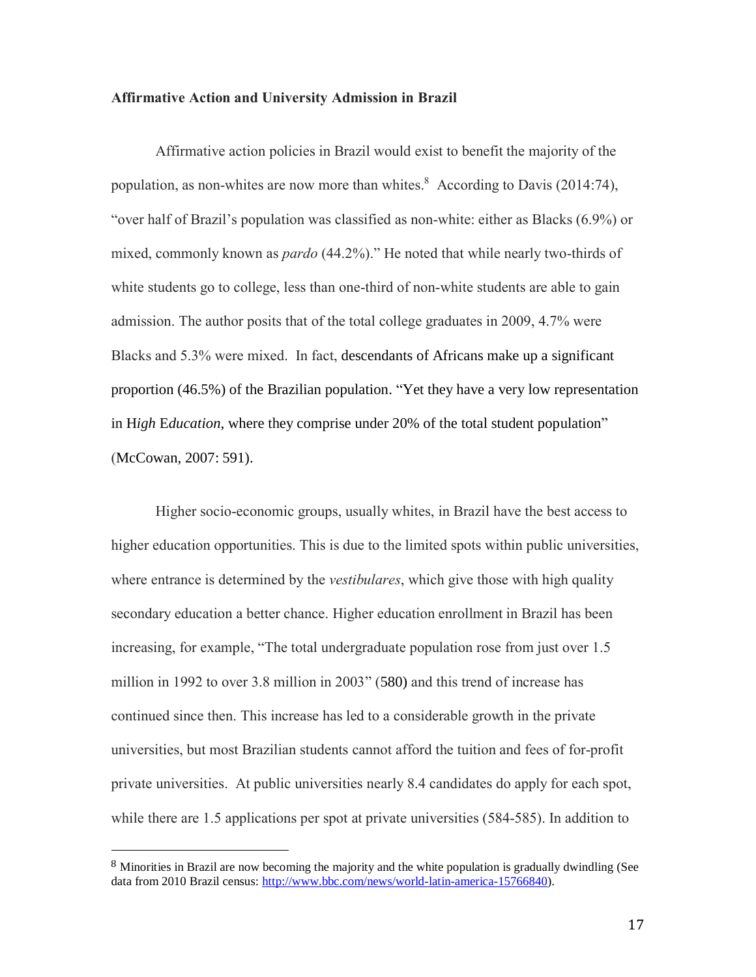## **Affirmative Action and University Admission in Brazil**

Affirmative action policies in Brazil would exist to benefit the majority of the population, as non-whites are now more than whites.<sup>8</sup> According to Davis (2014:74), "over half of Brazil's population was classified as non-white: either as Blacks (6.9%) or mixed, commonly known as *pardo* (44.2%)." He noted that while nearly two-thirds of white students go to college, less than one-third of non-white students are able to gain admission. The author posits that of the total college graduates in 2009, 4.7% were Blacks and 5.3% were mixed. In fact, descendants of Africans make up a significant proportion (46.5%) of the Brazilian population. "Yet they have a very low representation in H*igh* E*ducation*, where they comprise under 20% of the total student population" (McCowan, 2007: 591).

Higher socio-economic groups, usually whites, in Brazil have the best access to higher education opportunities. This is due to the limited spots within public universities, where entrance is determined by the *vestibulares*, which give those with high quality secondary education a better chance. Higher education enrollment in Brazil has been increasing, for example, "The total undergraduate population rose from just over 1.5 million in 1992 to over 3.8 million in 2003" (580) and this trend of increase has continued since then. This increase has led to a considerable growth in the private universities, but most Brazilian students cannot afford the tuition and fees of for-profit private universities. At public universities nearly 8.4 candidates do apply for each spot, while there are 1.5 applications per spot at private universities (584-585). In addition to

 $\overline{a}$ 

<sup>8</sup> Minorities in Brazil are now becoming the majority and the white population is gradually dwindling (See data from 2010 Brazil census: [http://www.bbc.com/news/world-latin-america-15766840\)](http://www.bbc.com/news/world-latin-america-15766840).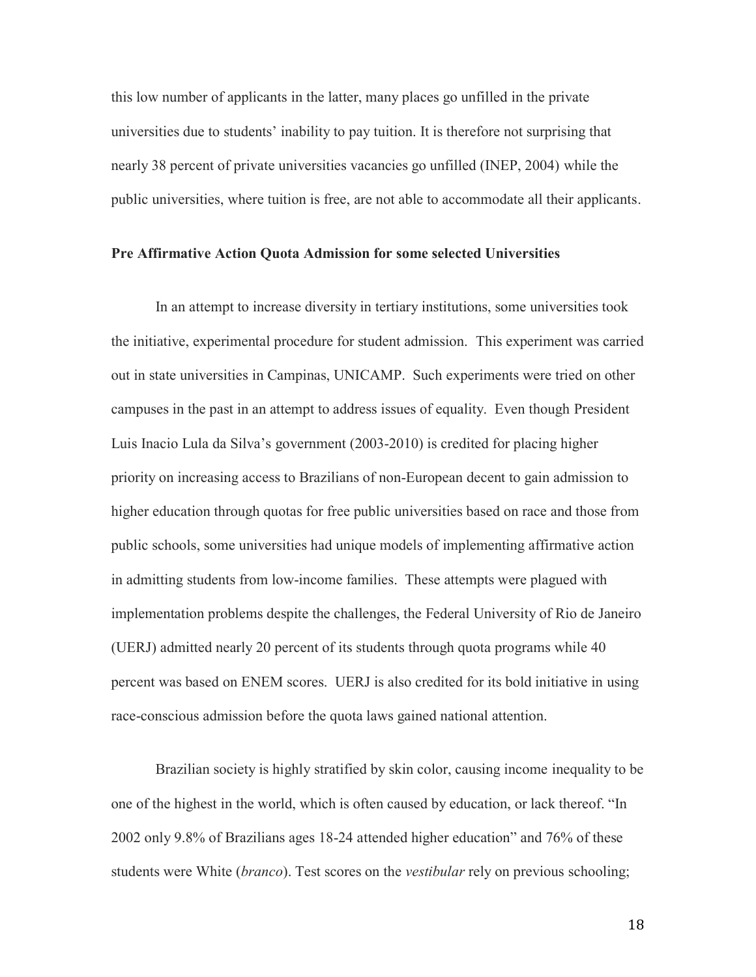this low number of applicants in the latter, many places go unfilled in the private universities due to students' inability to pay tuition. It is therefore not surprising that nearly 38 percent of private universities vacancies go unfilled (INEP, 2004) while the public universities, where tuition is free, are not able to accommodate all their applicants.

## **Pre Affirmative Action Quota Admission for some selected Universities**

In an attempt to increase diversity in tertiary institutions, some universities took the initiative, experimental procedure for student admission. This experiment was carried out in state universities in Campinas, UNICAMP. Such experiments were tried on other campuses in the past in an attempt to address issues of equality. Even though President Luis Inacio Lula da Silva's government (2003-2010) is credited for placing higher priority on increasing access to Brazilians of non-European decent to gain admission to higher education through quotas for free public universities based on race and those from public schools, some universities had unique models of implementing affirmative action in admitting students from low-income families. These attempts were plagued with implementation problems despite the challenges, the Federal University of Rio de Janeiro (UERJ) admitted nearly 20 percent of its students through quota programs while 40 percent was based on ENEM scores. UERJ is also credited for its bold initiative in using race-conscious admission before the quota laws gained national attention.

Brazilian society is highly stratified by skin color, causing income inequality to be one of the highest in the world, which is often caused by education, or lack thereof. "In 2002 only 9.8% of Brazilians ages 18-24 attended higher education" and 76% of these students were White (*branco*). Test scores on the *vestibular* rely on previous schooling;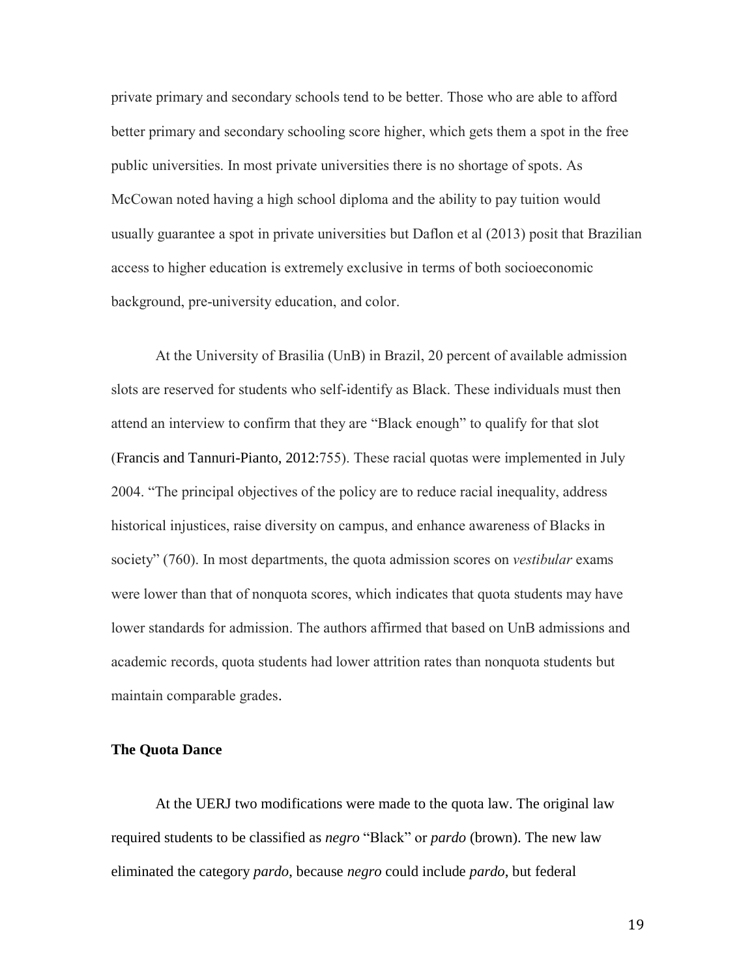private primary and secondary schools tend to be better. Those who are able to afford better primary and secondary schooling score higher, which gets them a spot in the free public universities. In most private universities there is no shortage of spots. As McCowan noted having a high school diploma and the ability to pay tuition would usually guarantee a spot in private universities but Daflon et al (2013) posit that Brazilian access to higher education is extremely exclusive in terms of both socioeconomic background, pre-university education, and color.

At the University of Brasilia (UnB) in Brazil, 20 percent of available admission slots are reserved for students who self-identify as Black. These individuals must then attend an interview to confirm that they are "Black enough" to qualify for that slot (Francis and Tannuri-Pianto, 2012:755). These racial quotas were implemented in July 2004. "The principal objectives of the policy are to reduce racial inequality, address historical injustices, raise diversity on campus, and enhance awareness of Blacks in society" (760). In most departments, the quota admission scores on *vestibular* exams were lower than that of nonquota scores, which indicates that quota students may have lower standards for admission. The authors affirmed that based on UnB admissions and academic records, quota students had lower attrition rates than nonquota students but maintain comparable grades.

## **The Quota Dance**

At the UERJ two modifications were made to the quota law. The original law required students to be classified as *negro* "Black" or *pardo* (brown). The new law eliminated the category *pardo*, because *negro* could include *pardo*, but federal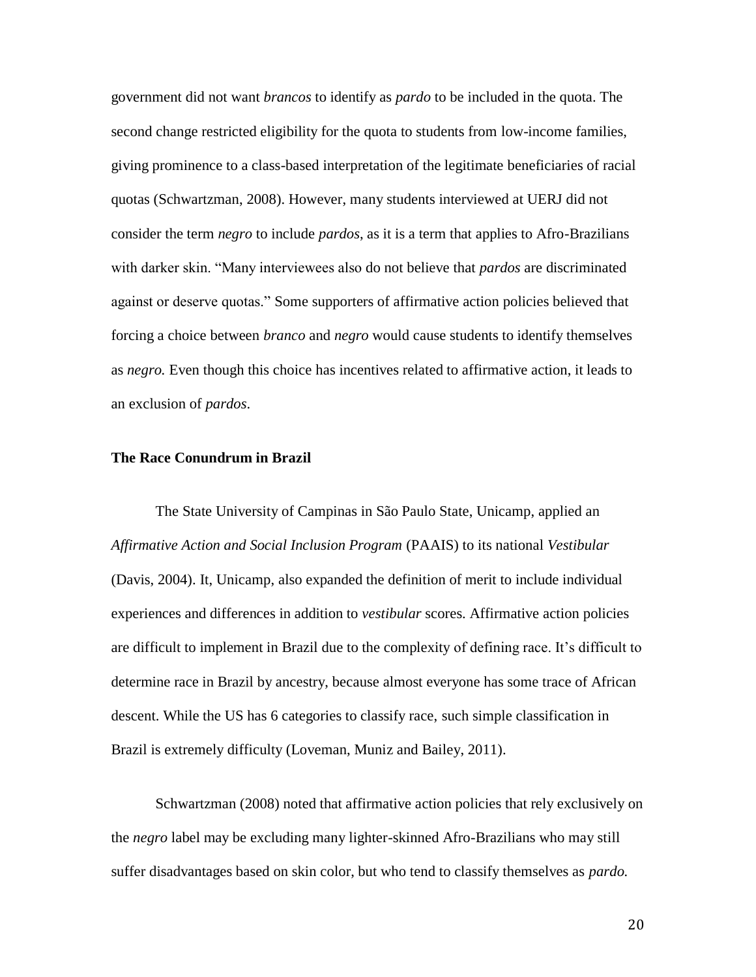government did not want *brancos* to identify as *pardo* to be included in the quota. The second change restricted eligibility for the quota to students from low-income families, giving prominence to a class-based interpretation of the legitimate beneficiaries of racial quotas (Schwartzman, 2008). However, many students interviewed at UERJ did not consider the term *negro* to include *pardos*, as it is a term that applies to Afro-Brazilians with darker skin. "Many interviewees also do not believe that *pardos* are discriminated against or deserve quotas." Some supporters of affirmative action policies believed that forcing a choice between *branco* and *negro* would cause students to identify themselves as *negro.* Even though this choice has incentives related to affirmative action, it leads to an exclusion of *pardos*.

## **The Race Conundrum in Brazil**

The State University of Campinas in São Paulo State, Unicamp, applied an *Affirmative Action and Social Inclusion Program* (PAAIS) to its national *Vestibular* (Davis, 2004). It, Unicamp, also expanded the definition of merit to include individual experiences and differences in addition to *vestibular* scores. Affirmative action policies are difficult to implement in Brazil due to the complexity of defining race. It's difficult to determine race in Brazil by ancestry, because almost everyone has some trace of African descent. While the US has 6 categories to classify race, such simple classification in Brazil is extremely difficulty (Loveman, Muniz and Bailey, 2011).

Schwartzman (2008) noted that affirmative action policies that rely exclusively on the *negro* label may be excluding many lighter-skinned Afro-Brazilians who may still suffer disadvantages based on skin color, but who tend to classify themselves as *pardo.*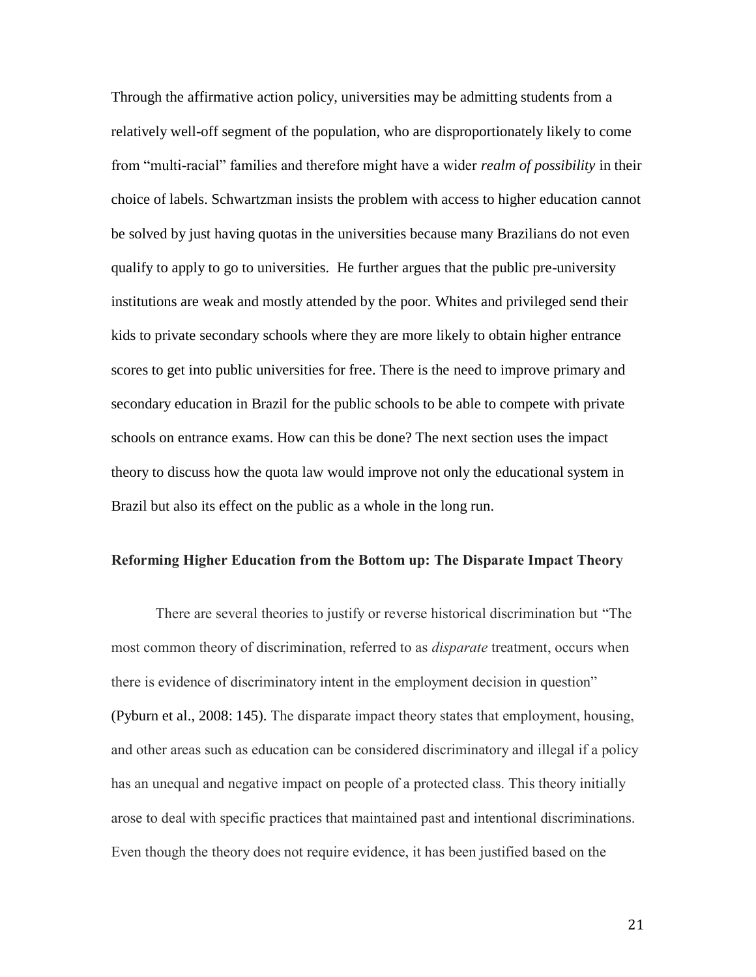Through the affirmative action policy, universities may be admitting students from a relatively well-off segment of the population, who are disproportionately likely to come from "multi-racial" families and therefore might have a wider *realm of possibility* in their choice of labels. Schwartzman insists the problem with access to higher education cannot be solved by just having quotas in the universities because many Brazilians do not even qualify to apply to go to universities. He further argues that the public pre-university institutions are weak and mostly attended by the poor. Whites and privileged send their kids to private secondary schools where they are more likely to obtain higher entrance scores to get into public universities for free. There is the need to improve primary and secondary education in Brazil for the public schools to be able to compete with private schools on entrance exams. How can this be done? The next section uses the impact theory to discuss how the quota law would improve not only the educational system in Brazil but also its effect on the public as a whole in the long run.

#### **Reforming Higher Education from the Bottom up: The Disparate Impact Theory**

There are several theories to justify or reverse historical discrimination but "The most common theory of discrimination, referred to as *disparate* treatment, occurs when there is evidence of discriminatory intent in the employment decision in question" (Pyburn et al., 2008: 145). The disparate impact theory states that employment, housing, and other areas such as education can be considered discriminatory and illegal if a policy has an unequal and negative impact on people of a protected class. This theory initially arose to deal with specific practices that maintained past and intentional discriminations. Even though the theory does not require evidence, it has been justified based on the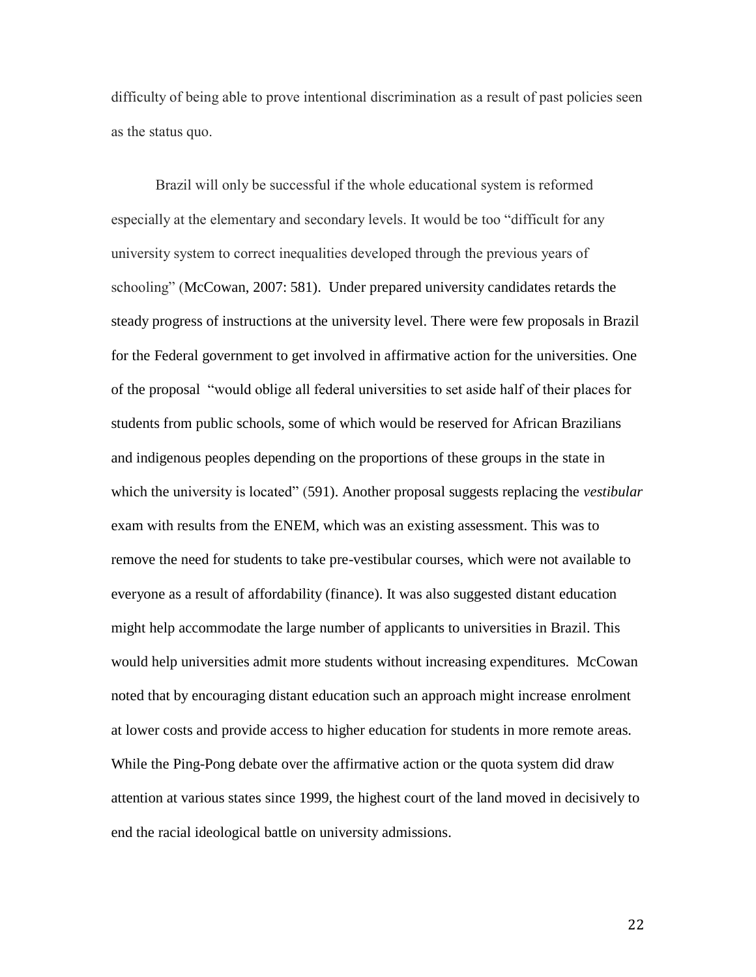difficulty of being able to prove intentional discrimination as a result of past policies seen as the status quo.

Brazil will only be successful if the whole educational system is reformed especially at the elementary and secondary levels. It would be too "difficult for any university system to correct inequalities developed through the previous years of schooling" (McCowan, 2007: 581). Under prepared university candidates retards the steady progress of instructions at the university level. There were few proposals in Brazil for the Federal government to get involved in affirmative action for the universities. One of the proposal "would oblige all federal universities to set aside half of their places for students from public schools, some of which would be reserved for African Brazilians and indigenous peoples depending on the proportions of these groups in the state in which the university is located" (591). Another proposal suggests replacing the *vestibular* exam with results from the ENEM, which was an existing assessment. This was to remove the need for students to take pre-vestibular courses, which were not available to everyone as a result of affordability (finance). It was also suggested distant education might help accommodate the large number of applicants to universities in Brazil. This would help universities admit more students without increasing expenditures. McCowan noted that by encouraging distant education such an approach might increase enrolment at lower costs and provide access to higher education for students in more remote areas. While the Ping-Pong debate over the affirmative action or the quota system did draw attention at various states since 1999, the highest court of the land moved in decisively to end the racial ideological battle on university admissions.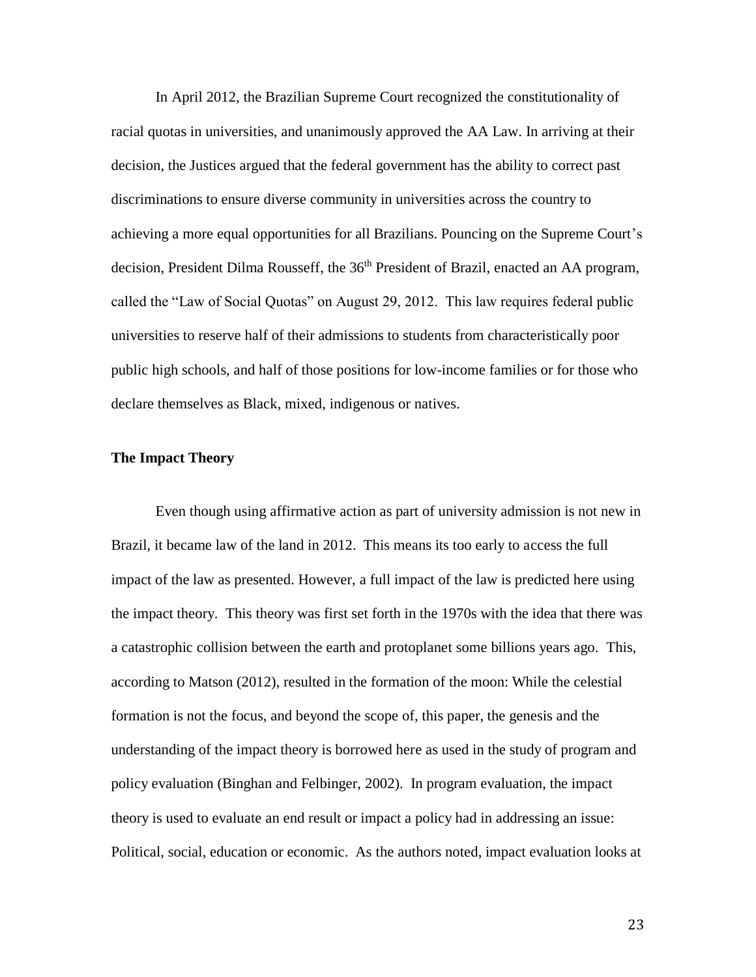In April 2012, the Brazilian Supreme Court recognized the constitutionality of racial quotas in universities, and unanimously approved the AA Law. In arriving at their decision, the Justices argued that the federal government has the ability to correct past discriminations to ensure diverse community in universities across the country to achieving a more equal opportunities for all Brazilians. Pouncing on the Supreme Court's decision, President Dilma Rousseff, the 36<sup>th</sup> President of Brazil, enacted an AA program, called the "Law of Social Quotas" on August 29, 2012. This law requires federal public universities to reserve half of their admissions to students from characteristically poor public high schools, and half of those positions for low-income families or for those who declare themselves as Black, mixed, indigenous or natives.

## **The Impact Theory**

Even though using affirmative action as part of university admission is not new in Brazil, it became law of the land in 2012. This means its too early to access the full impact of the law as presented. However, a full impact of the law is predicted here using the impact theory. This theory was first set forth in the 1970s with the idea that there was a catastrophic collision between the earth and protoplanet some billions years ago. This, according to Matson (2012), resulted in the formation of the moon: While the celestial formation is not the focus, and beyond the scope of, this paper, the genesis and the understanding of the impact theory is borrowed here as used in the study of program and policy evaluation (Binghan and Felbinger, 2002). In program evaluation, the impact theory is used to evaluate an end result or impact a policy had in addressing an issue: Political, social, education or economic. As the authors noted, impact evaluation looks at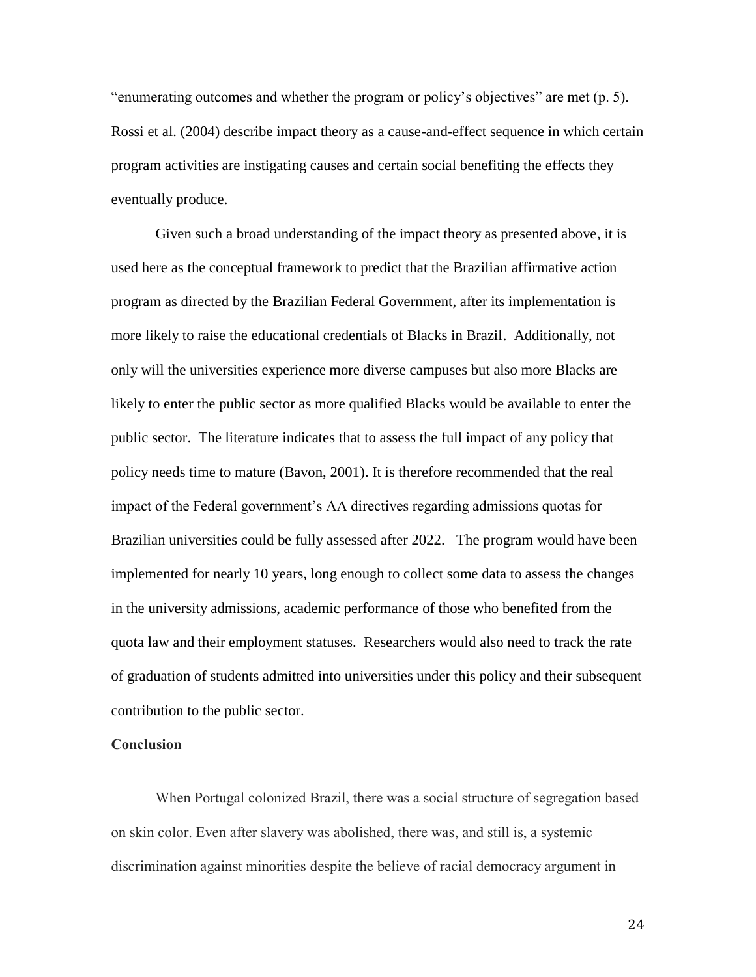"enumerating outcomes and whether the program or policy's objectives" are met (p. 5). Rossi et al. (2004) describe impact theory as a cause-and-effect sequence in which certain program activities are instigating causes and certain social benefiting the effects they eventually produce.

Given such a broad understanding of the impact theory as presented above, it is used here as the conceptual framework to predict that the Brazilian affirmative action program as directed by the Brazilian Federal Government, after its implementation is more likely to raise the educational credentials of Blacks in Brazil. Additionally, not only will the universities experience more diverse campuses but also more Blacks are likely to enter the public sector as more qualified Blacks would be available to enter the public sector. The literature indicates that to assess the full impact of any policy that policy needs time to mature (Bavon, 2001). It is therefore recommended that the real impact of the Federal government's AA directives regarding admissions quotas for Brazilian universities could be fully assessed after 2022. The program would have been implemented for nearly 10 years, long enough to collect some data to assess the changes in the university admissions, academic performance of those who benefited from the quota law and their employment statuses. Researchers would also need to track the rate of graduation of students admitted into universities under this policy and their subsequent contribution to the public sector.

## **Conclusion**

When Portugal colonized Brazil, there was a social structure of segregation based on skin color. Even after slavery was abolished, there was, and still is, a systemic discrimination against minorities despite the believe of racial democracy argument in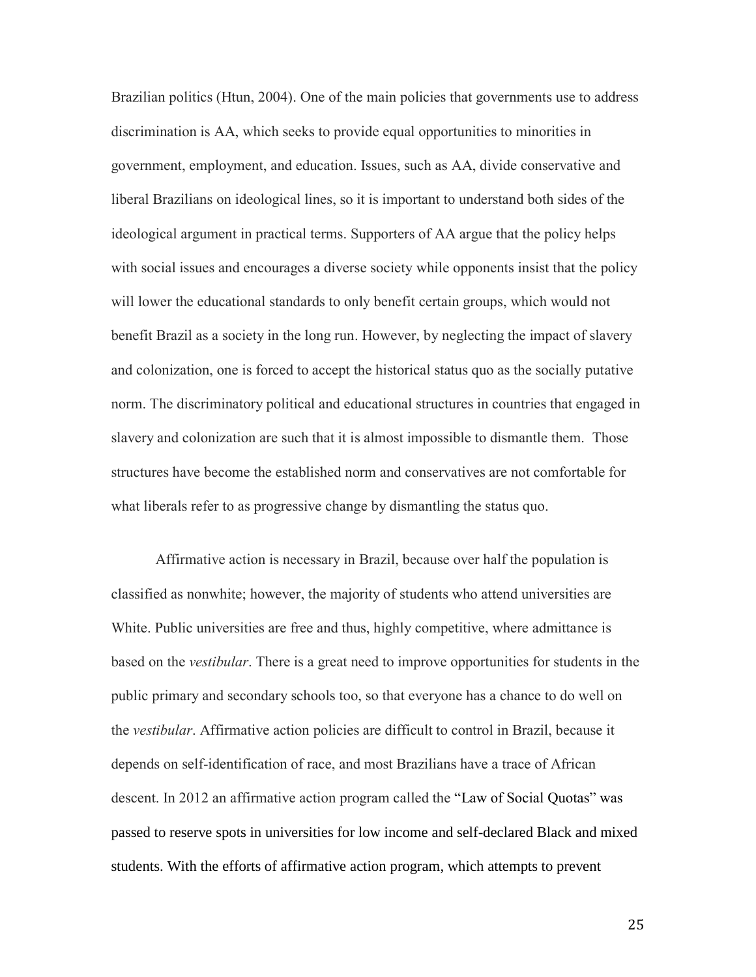Brazilian politics (Htun, 2004). One of the main policies that governments use to address discrimination is AA, which seeks to provide equal opportunities to minorities in government, employment, and education. Issues, such as AA, divide conservative and liberal Brazilians on ideological lines, so it is important to understand both sides of the ideological argument in practical terms. Supporters of AA argue that the policy helps with social issues and encourages a diverse society while opponents insist that the policy will lower the educational standards to only benefit certain groups, which would not benefit Brazil as a society in the long run. However, by neglecting the impact of slavery and colonization, one is forced to accept the historical status quo as the socially putative norm. The discriminatory political and educational structures in countries that engaged in slavery and colonization are such that it is almost impossible to dismantle them. Those structures have become the established norm and conservatives are not comfortable for what liberals refer to as progressive change by dismantling the status quo.

Affirmative action is necessary in Brazil, because over half the population is classified as nonwhite; however, the majority of students who attend universities are White. Public universities are free and thus, highly competitive, where admittance is based on the *vestibular*. There is a great need to improve opportunities for students in the public primary and secondary schools too, so that everyone has a chance to do well on the *vestibular*. Affirmative action policies are difficult to control in Brazil, because it depends on self-identification of race, and most Brazilians have a trace of African descent. In 2012 an affirmative action program called the "Law of Social Quotas" was passed to reserve spots in universities for low income and self-declared Black and mixed students. With the efforts of affirmative action program, which attempts to prevent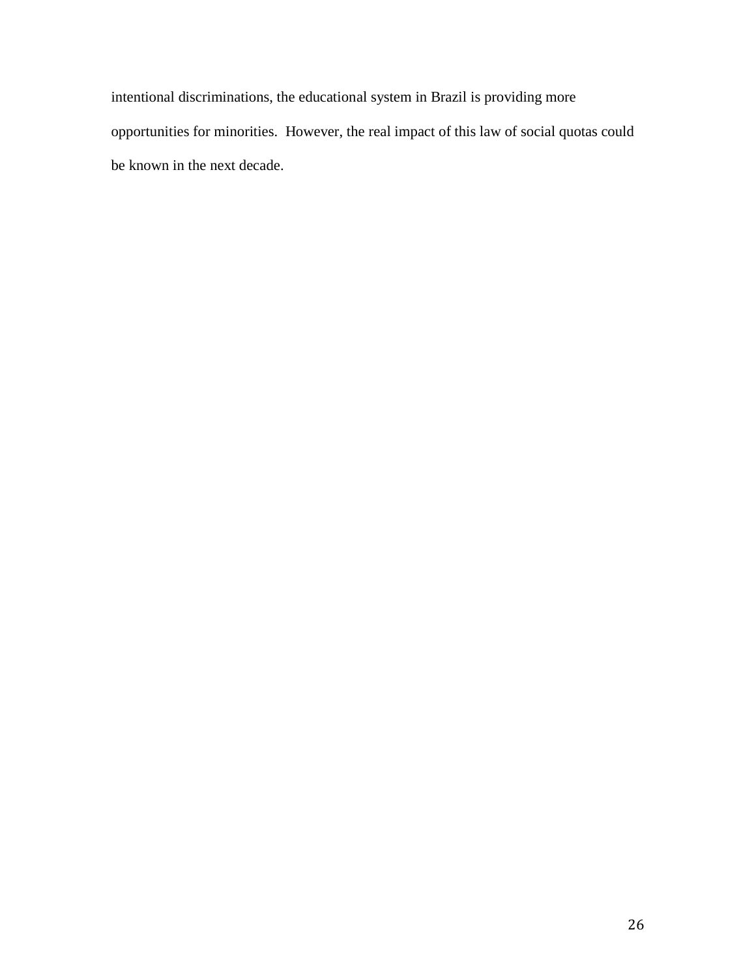intentional discriminations, the educational system in Brazil is providing more opportunities for minorities. However, the real impact of this law of social quotas could be known in the next decade.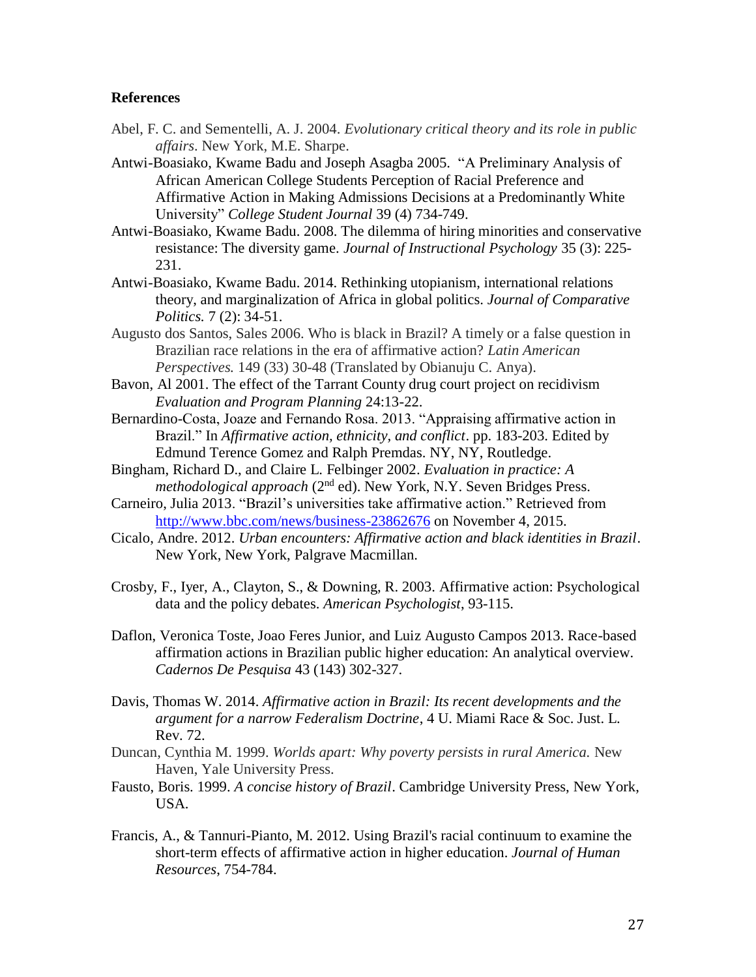## **References**

- Abel, F. C. and Sementelli, A. J. 2004. *Evolutionary critical theory and its role in public affairs*. New York, M.E. Sharpe.
- Antwi-Boasiako, Kwame Badu and Joseph Asagba 2005. "A Preliminary Analysis of African American College Students Perception of Racial Preference and Affirmative Action in Making Admissions Decisions at a Predominantly White University" *College Student Journal* 39 (4) 734-749.
- Antwi-Boasiako, Kwame Badu. 2008. The dilemma of hiring minorities and conservative resistance: The diversity game. *Journal of Instructional Psychology* 35 (3): 225- 231.
- Antwi-Boasiako, Kwame Badu. 2014. Rethinking utopianism, international relations theory, and marginalization of Africa in global politics. *Journal of Comparative Politics.* 7 (2): 34-51.
- Augusto dos Santos, Sales 2006. Who is black in Brazil? A timely or a false question in Brazilian race relations in the era of affirmative action? *Latin American Perspectives.* 149 (33) 30-48 (Translated by Obianuju C. Anya).
- Bavon, Al 2001. The effect of the Tarrant County drug court project on recidivism *Evaluation and Program Planning* 24:13-22.
- Bernardino-Costa, Joaze and Fernando Rosa. 2013. "Appraising affirmative action in Brazil." In *Affirmative action, ethnicity, and conflict*. pp. 183-203. Edited by Edmund Terence Gomez and Ralph Premdas. NY, NY, Routledge.
- Bingham, Richard D., and Claire L. Felbinger 2002. *Evaluation in practice: A methodological approach* (2<sup>nd</sup> ed). New York, N.Y. Seven Bridges Press.
- Carneiro, Julia 2013. "Brazil's universities take affirmative action." Retrieved from <http://www.bbc.com/news/business-23862676> on November 4, 2015.
- Cicalo, Andre. 2012. *Urban encounters: Affirmative action and black identities in Brazil*. New York, New York, Palgrave Macmillan.
- Crosby, F., Iyer, A., Clayton, S., & Downing, R. 2003. Affirmative action: Psychological data and the policy debates. *American Psychologist*, 93-115.
- Daflon, Veronica Toste, Joao Feres Junior, and Luiz Augusto Campos 2013. Race-based affirmation actions in Brazilian public higher education: An analytical overview. *Cadernos De Pesquisa* 43 (143) 302-327.
- Davis, Thomas W. 2014. *Affirmative action in Brazil: Its recent developments and the argument for a narrow Federalism Doctrine*, 4 U. Miami Race & Soc. Just. L. Rev. 72.
- Duncan, Cynthia M. 1999. *Worlds apart: Why poverty persists in rural America.* New Haven, Yale University Press.
- Fausto, Boris. 1999. *A concise history of Brazil*. Cambridge University Press, New York, USA.
- Francis, A., & Tannuri-Pianto, M. 2012. Using Brazil's racial continuum to examine the short-term effects of affirmative action in higher education. *Journal of Human Resources*, 754-784.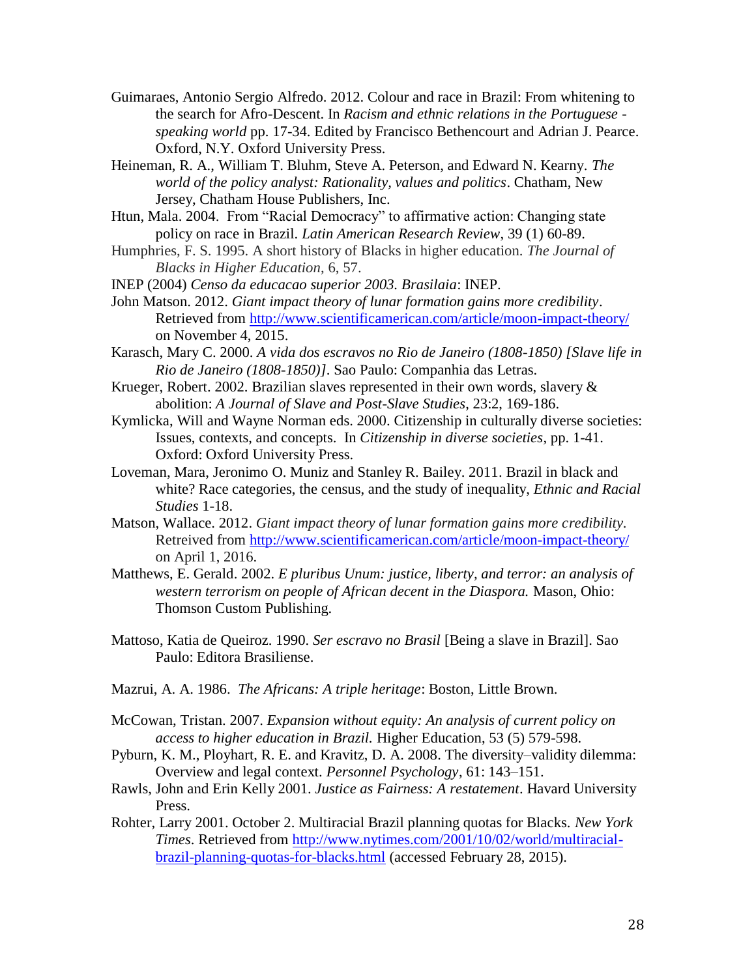- Guimaraes, Antonio Sergio Alfredo. 2012. Colour and race in Brazil: From whitening to the search for Afro-Descent. In *Racism and ethnic relations in the Portuguese speaking world* pp. 17-34. Edited by Francisco Bethencourt and Adrian J. Pearce. Oxford, N.Y. Oxford University Press.
- Heineman, R. A., William T. Bluhm, Steve A. Peterson, and Edward N. Kearny. *The world of the policy analyst: Rationality, values and politics*. Chatham, New Jersey, Chatham House Publishers, Inc.
- Htun, Mala. 2004. From "Racial Democracy" to affirmative action: Changing state policy on race in Brazil. *Latin American Research Review*, 39 (1) 60-89.
- Humphries, F. S. 1995. A short history of Blacks in higher education. *The Journal of Blacks in Higher Education*, 6, 57.
- INEP (2004) *Censo da educacao superior 2003. Brasilaia*: INEP.
- John Matson. 2012. *Giant impact theory of lunar formation gains more credibility*. Retrieved from<http://www.scientificamerican.com/article/moon-impact-theory/> on November 4, 2015.
- Karasch, Mary C. 2000. *A vida dos escravos no Rio de Janeiro (1808-1850) [Slave life in Rio de Janeiro (1808-1850)]*. Sao Paulo: Companhia das Letras.
- Krueger, Robert. 2002. Brazilian slaves represented in their own words, slavery  $\&$ abolition: *A Journal of Slave and Post-Slave Studies*, 23:2, 169-186.
- Kymlicka, Will and Wayne Norman eds. 2000. Citizenship in culturally diverse societies: Issues, contexts, and concepts. In *Citizenship in diverse societies*, pp. 1-41. Oxford: Oxford University Press.
- Loveman, Mara, Jeronimo O. Muniz and Stanley R. Bailey. 2011. Brazil in black and white? Race categories, the census, and the study of inequality, *Ethnic and Racial Studies* 1-18.
- Matson, Wallace. 2012. *Giant impact theory of lunar formation gains more credibility.*  Retreived from<http://www.scientificamerican.com/article/moon-impact-theory/> on April 1, 2016.
- Matthews, E. Gerald. 2002. *E pluribus Unum: justice, liberty, and terror: an analysis of western terrorism on people of African decent in the Diaspora.* Mason, Ohio: Thomson Custom Publishing.
- Mattoso, Katia de Queiroz. 1990. *Ser escravo no Brasil* [Being a slave in Brazil]. Sao Paulo: Editora Brasiliense.
- Mazrui, A. A. 1986. *The Africans: A triple heritage*: Boston, Little Brown.
- McCowan, Tristan. 2007. *Expansion without equity: An analysis of current policy on access to higher education in Brazil.* Higher Education, 53 (5) 579-598.
- Pyburn, K. M., Ployhart, R. E. and Kravitz, D. A. 2008. The diversity–validity dilemma: Overview and legal context. *Personnel Psychology*, 61: 143–151.
- Rawls, John and Erin Kelly 2001. *Justice as Fairness: A restatement*. Havard University Press.
- Rohter, Larry 2001. October 2. Multiracial Brazil planning quotas for Blacks. *New York Times*. Retrieved from [http://www.nytimes.com/2001/10/02/world/multiracial](http://www.nytimes.com/2001/10/02/world/multiracial-brazil-planning-quotas-for-blacks.html)[brazil-planning-quotas-for-blacks.html](http://www.nytimes.com/2001/10/02/world/multiracial-brazil-planning-quotas-for-blacks.html) (accessed February 28, 2015).